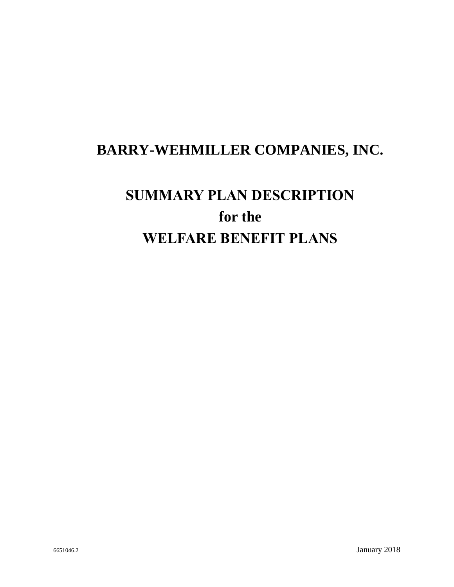# **BARRY-WEHMILLER COMPANIES, INC.**

# **SUMMARY PLAN DESCRIPTION for the WELFARE BENEFIT PLANS**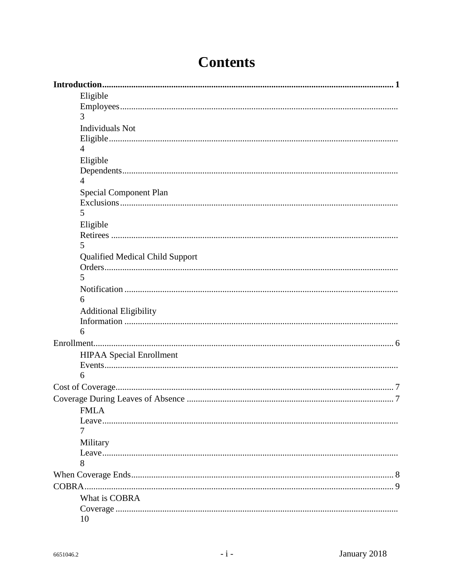| Eligible                               |  |
|----------------------------------------|--|
|                                        |  |
| 3                                      |  |
| <b>Individuals Not</b>                 |  |
|                                        |  |
| $\overline{4}$                         |  |
| Eligible                               |  |
|                                        |  |
| 4                                      |  |
| <b>Special Component Plan</b>          |  |
|                                        |  |
| 5                                      |  |
| Eligible                               |  |
|                                        |  |
| 5                                      |  |
| <b>Qualified Medical Child Support</b> |  |
|                                        |  |
| 5                                      |  |
|                                        |  |
| 6                                      |  |
| <b>Additional Eligibility</b>          |  |
|                                        |  |
| 6                                      |  |
|                                        |  |
| <b>HIPAA</b> Special Enrollment        |  |
|                                        |  |
| 6                                      |  |
|                                        |  |
|                                        |  |
| <b>FMLA</b>                            |  |
| Leave                                  |  |
| 7                                      |  |
| Military                               |  |
|                                        |  |
| 8                                      |  |
|                                        |  |
|                                        |  |
| What is COBRA                          |  |
|                                        |  |
| 10                                     |  |

# **Contents**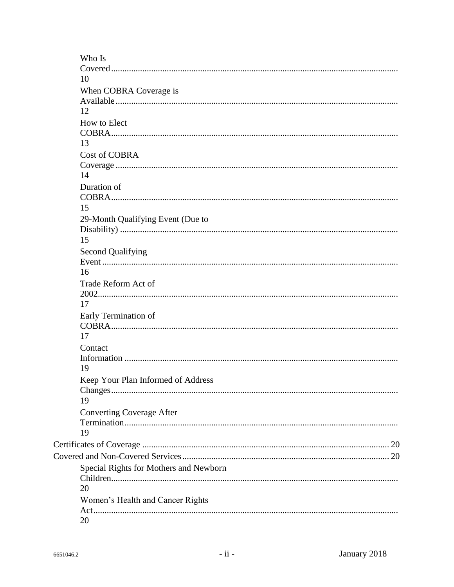| 10                                     |  |
|----------------------------------------|--|
|                                        |  |
|                                        |  |
| When COBRA Coverage is                 |  |
|                                        |  |
| 12                                     |  |
| How to Elect                           |  |
|                                        |  |
| 13                                     |  |
| <b>Cost of COBRA</b>                   |  |
|                                        |  |
| 14                                     |  |
| Duration of                            |  |
|                                        |  |
| 15                                     |  |
| 29-Month Qualifying Event (Due to      |  |
|                                        |  |
| 15                                     |  |
| <b>Second Qualifying</b>               |  |
|                                        |  |
| 16                                     |  |
| Trade Reform Act of                    |  |
|                                        |  |
| 17                                     |  |
| Early Termination of                   |  |
|                                        |  |
| 17                                     |  |
| Contact                                |  |
|                                        |  |
| 19                                     |  |
| Keep Your Plan Informed of Address     |  |
|                                        |  |
| 19                                     |  |
| <b>Converting Coverage After</b>       |  |
|                                        |  |
| 19                                     |  |
|                                        |  |
|                                        |  |
| Special Rights for Mothers and Newborn |  |
|                                        |  |
| 20                                     |  |
| Women's Health and Cancer Rights       |  |
|                                        |  |
| 20                                     |  |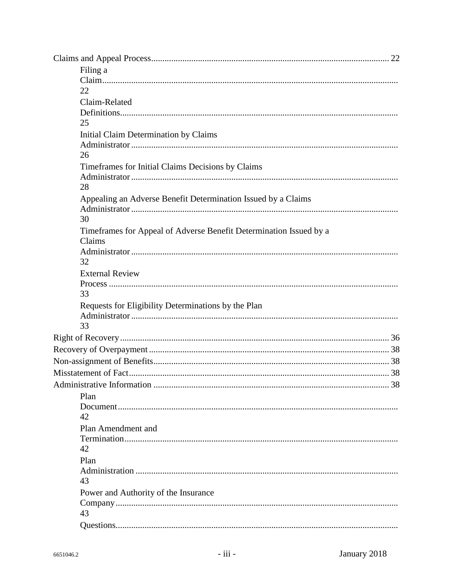| Filing a                                                           |
|--------------------------------------------------------------------|
|                                                                    |
| 22                                                                 |
| Claim-Related                                                      |
|                                                                    |
| 25                                                                 |
| Initial Claim Determination by Claims                              |
|                                                                    |
| 26                                                                 |
| Timeframes for Initial Claims Decisions by Claims                  |
|                                                                    |
| 28                                                                 |
| Appealing an Adverse Benefit Determination Issued by a Claims      |
|                                                                    |
| 30                                                                 |
| Timeframes for Appeal of Adverse Benefit Determination Issued by a |
| Claims                                                             |
| 32                                                                 |
| <b>External Review</b>                                             |
|                                                                    |
| 33                                                                 |
| Requests for Eligibility Determinations by the Plan                |
|                                                                    |
| 33                                                                 |
|                                                                    |
|                                                                    |
|                                                                    |
|                                                                    |
| 38<br>Administrative Information                                   |
| Plan                                                               |
|                                                                    |
| 42                                                                 |
| Plan Amendment and                                                 |
|                                                                    |
| 42                                                                 |
| Plan                                                               |
|                                                                    |
| 43                                                                 |
| Power and Authority of the Insurance                               |
|                                                                    |
| 43                                                                 |
|                                                                    |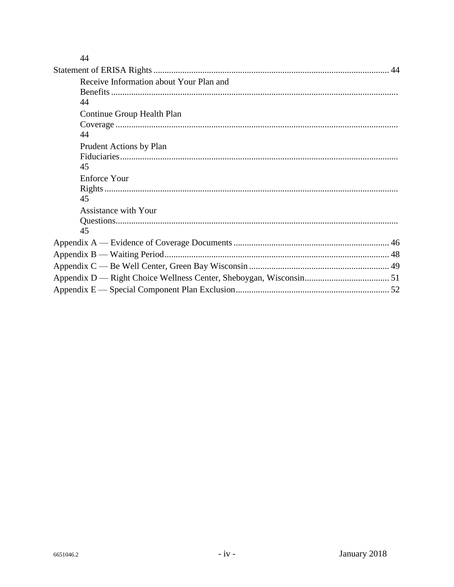|--|

| Receive Information about Your Plan and |
|-----------------------------------------|
|                                         |
| 44                                      |
| Continue Group Health Plan              |
|                                         |
| 44                                      |
| Prudent Actions by Plan                 |
|                                         |
| 45                                      |
| Enforce Your                            |
|                                         |
| 45                                      |
| <b>Assistance with Your</b>             |
|                                         |
| 45                                      |
|                                         |
|                                         |
|                                         |
|                                         |
|                                         |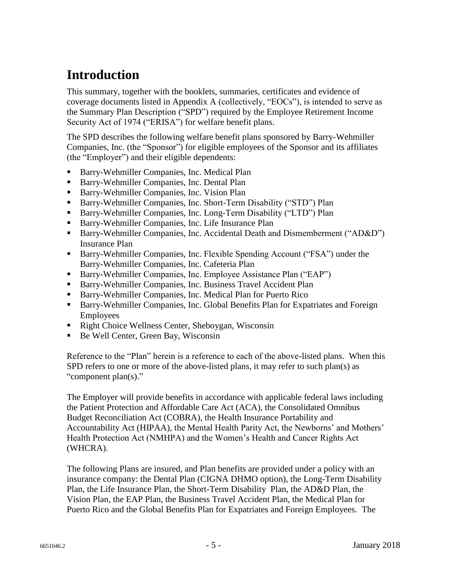# **Introduction**

This summary, together with the booklets, summaries, certificates and evidence of coverage documents listed in Appendix A (collectively, "EOCs"), is intended to serve as the Summary Plan Description ("SPD") required by the Employee Retirement Income Security Act of 1974 ("ERISA") for welfare benefit plans.

The SPD describes the following welfare benefit plans sponsored by Barry-Wehmiller Companies, Inc. (the "Sponsor") for eligible employees of the Sponsor and its affiliates (the "Employer") and their eligible dependents:

- Barry-Wehmiller Companies, Inc. Medical Plan
- Barry-Wehmiller Companies, Inc. Dental Plan
- Barry-Wehmiller Companies, Inc. Vision Plan
- Barry-Wehmiller Companies, Inc. Short-Term Disability ("STD") Plan
- Barry-Wehmiller Companies, Inc. Long-Term Disability ("LTD") Plan
- Barry-Wehmiller Companies, Inc. Life Insurance Plan
- Barry-Wehmiller Companies, Inc. Accidental Death and Dismemberment ("AD&D") Insurance Plan
- Barry-Wehmiller Companies, Inc. Flexible Spending Account ("FSA") under the Barry-Wehmiller Companies, Inc. Cafeteria Plan
- Barry-Wehmiller Companies, Inc. Employee Assistance Plan ("EAP")
- Barry-Wehmiller Companies, Inc. Business Travel Accident Plan
- Barry-Wehmiller Companies, Inc. Medical Plan for Puerto Rico
- Barry-Wehmiller Companies, Inc. Global Benefits Plan for Expatriates and Foreign Employees
- Right Choice Wellness Center, Sheboygan, Wisconsin
- Be Well Center, Green Bay, Wisconsin

Reference to the "Plan" herein is a reference to each of the above-listed plans. When this SPD refers to one or more of the above-listed plans, it may refer to such plan(s) as "component plan(s)."

The Employer will provide benefits in accordance with applicable federal laws including the Patient Protection and Affordable Care Act (ACA), the Consolidated Omnibus Budget Reconciliation Act (COBRA), the Health Insurance Portability and Accountability Act (HIPAA), the Mental Health Parity Act, the Newborns' and Mothers' Health Protection Act (NMHPA) and the Women's Health and Cancer Rights Act (WHCRA).

The following Plans are insured, and Plan benefits are provided under a policy with an insurance company: the Dental Plan (CIGNA DHMO option), the Long-Term Disability Plan, the Life Insurance Plan, the Short-Term Disability Plan, the AD&D Plan, the Vision Plan, the EAP Plan, the Business Travel Accident Plan, the Medical Plan for Puerto Rico and the Global Benefits Plan for Expatriates and Foreign Employees. The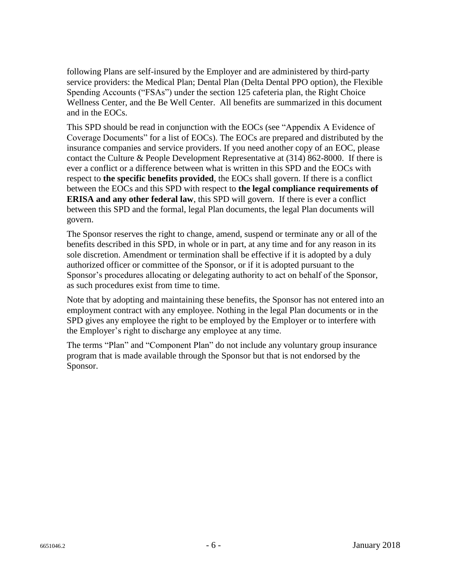following Plans are self-insured by the Employer and are administered by third-party service providers: the Medical Plan; Dental Plan (Delta Dental PPO option), the Flexible Spending Accounts ("FSAs") under the section 125 cafeteria plan, the Right Choice Wellness Center, and the Be Well Center. All benefits are summarized in this document and in the EOCs.

This SPD should be read in conjunction with the EOCs (see "Appendix A Evidence of Coverage Documents" for a list of EOCs). The EOCs are prepared and distributed by the insurance companies and service providers. If you need another copy of an EOC, please contact the Culture & People Development Representative at (314) 862-8000. If there is ever a conflict or a difference between what is written in this SPD and the EOCs with respect to **the specific benefits provided**, the EOCs shall govern. If there is a conflict between the EOCs and this SPD with respect to **the legal compliance requirements of ERISA and any other federal law**, this SPD will govern. If there is ever a conflict between this SPD and the formal, legal Plan documents, the legal Plan documents will govern.

The Sponsor reserves the right to change, amend, suspend or terminate any or all of the benefits described in this SPD, in whole or in part, at any time and for any reason in its sole discretion. Amendment or termination shall be effective if it is adopted by a duly authorized officer or committee of the Sponsor, or if it is adopted pursuant to the Sponsor's procedures allocating or delegating authority to act on behalf of the Sponsor, as such procedures exist from time to time.

Note that by adopting and maintaining these benefits, the Sponsor has not entered into an employment contract with any employee. Nothing in the legal Plan documents or in the SPD gives any employee the right to be employed by the Employer or to interfere with the Employer's right to discharge any employee at any time.

The terms "Plan" and "Component Plan" do not include any voluntary group insurance program that is made available through the Sponsor but that is not endorsed by the Sponsor.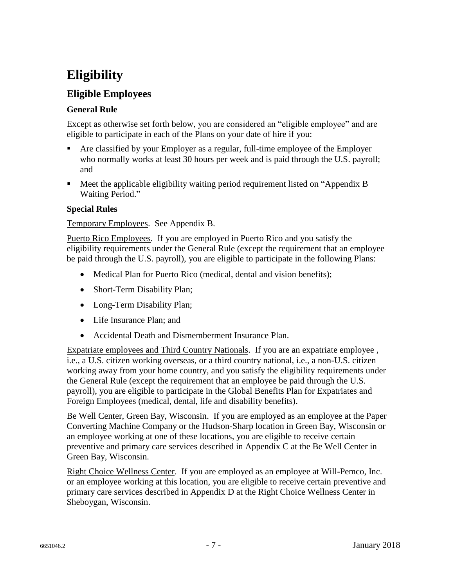# **Eligibility**

### **Eligible Employees**

#### **General Rule**

Except as otherwise set forth below, you are considered an "eligible employee" and are eligible to participate in each of the Plans on your date of hire if you:

- Are classified by your Employer as a regular, full-time employee of the Employer who normally works at least 30 hours per week and is paid through the U.S. payroll; and
- Meet the applicable eligibility waiting period requirement listed on "Appendix B Waiting Period."

#### **Special Rules**

#### Temporary Employees. See Appendix B.

Puerto Rico Employees. If you are employed in Puerto Rico and you satisfy the eligibility requirements under the General Rule (except the requirement that an employee be paid through the U.S. payroll), you are eligible to participate in the following Plans:

- Medical Plan for Puerto Rico (medical, dental and vision benefits);
- Short-Term Disability Plan;
- Long-Term Disability Plan;
- Life Insurance Plan: and
- Accidental Death and Dismemberment Insurance Plan.

Expatriate employees and Third Country Nationals. If you are an expatriate employee , i.e., a U.S. citizen working overseas, or a third country national, i.e., a non-U.S. citizen working away from your home country, and you satisfy the eligibility requirements under the General Rule (except the requirement that an employee be paid through the U.S. payroll), you are eligible to participate in the Global Benefits Plan for Expatriates and Foreign Employees (medical, dental, life and disability benefits).

Be Well Center, Green Bay, Wisconsin. If you are employed as an employee at the Paper Converting Machine Company or the Hudson-Sharp location in Green Bay, Wisconsin or an employee working at one of these locations, you are eligible to receive certain preventive and primary care services described in Appendix C at the Be Well Center in Green Bay, Wisconsin.

Right Choice Wellness Center. If you are employed as an employee at Will-Pemco, Inc. or an employee working at this location, you are eligible to receive certain preventive and primary care services described in Appendix D at the Right Choice Wellness Center in Sheboygan, Wisconsin.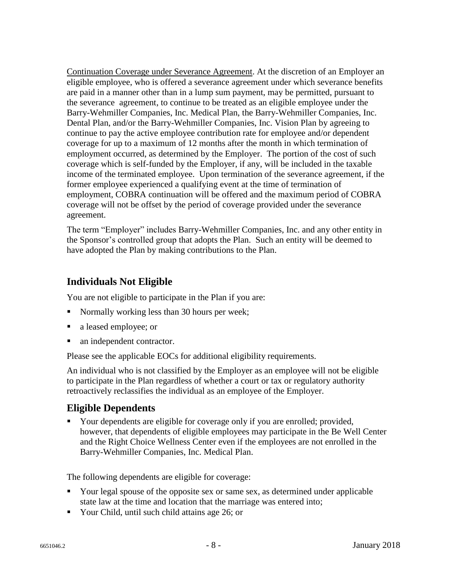Continuation Coverage under Severance Agreement. At the discretion of an Employer an eligible employee, who is offered a severance agreement under which severance benefits are paid in a manner other than in a lump sum payment, may be permitted, pursuant to the severance agreement, to continue to be treated as an eligible employee under the Barry-Wehmiller Companies, Inc. Medical Plan, the Barry-Wehmiller Companies, Inc. Dental Plan, and/or the Barry-Wehmiller Companies, Inc. Vision Plan by agreeing to continue to pay the active employee contribution rate for employee and/or dependent coverage for up to a maximum of 12 months after the month in which termination of employment occurred, as determined by the Employer. The portion of the cost of such coverage which is self-funded by the Employer, if any, will be included in the taxable income of the terminated employee. Upon termination of the severance agreement, if the former employee experienced a qualifying event at the time of termination of employment, COBRA continuation will be offered and the maximum period of COBRA coverage will not be offset by the period of coverage provided under the severance agreement.

The term "Employer" includes Barry-Wehmiller Companies, Inc. and any other entity in the Sponsor's controlled group that adopts the Plan. Such an entity will be deemed to have adopted the Plan by making contributions to the Plan.

### **Individuals Not Eligible**

You are not eligible to participate in the Plan if you are:

- Normally working less than 30 hours per week;
- a leased employee; or
- an independent contractor.

Please see the applicable EOCs for additional eligibility requirements.

An individual who is not classified by the Employer as an employee will not be eligible to participate in the Plan regardless of whether a court or tax or regulatory authority retroactively reclassifies the individual as an employee of the Employer.

### **Eligible Dependents**

• Your dependents are eligible for coverage only if you are enrolled; provided, however, that dependents of eligible employees may participate in the Be Well Center and the Right Choice Wellness Center even if the employees are not enrolled in the Barry-Wehmiller Companies, Inc. Medical Plan.

The following dependents are eligible for coverage:

- Your legal spouse of the opposite sex or same sex, as determined under applicable state law at the time and location that the marriage was entered into;
- Your Child, until such child attains age 26; or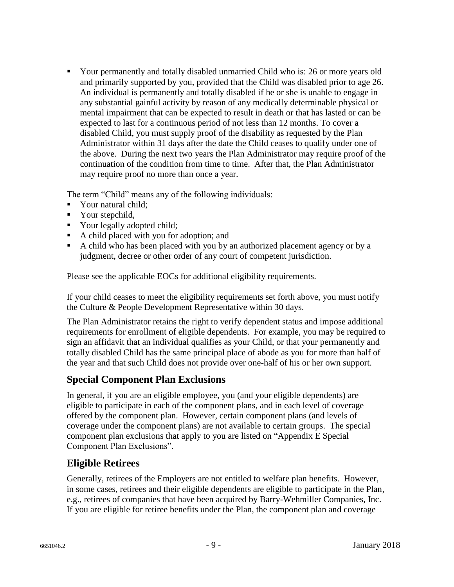Your permanently and totally disabled unmarried Child who is: 26 or more years old and primarily supported by you, provided that the Child was disabled prior to age 26. An individual is permanently and totally disabled if he or she is unable to engage in any substantial gainful activity by reason of any medically determinable physical or mental impairment that can be expected to result in death or that has lasted or can be expected to last for a continuous period of not less than 12 months. To cover a disabled Child, you must supply proof of the disability as requested by the Plan Administrator within 31 days after the date the Child ceases to qualify under one of the above. During the next two years the Plan Administrator may require proof of the continuation of the condition from time to time. After that, the Plan Administrator may require proof no more than once a year.

The term "Child" means any of the following individuals:

- Your natural child;
- Your stepchild,
- Your legally adopted child;
- A child placed with you for adoption; and
- A child who has been placed with you by an authorized placement agency or by a judgment, decree or other order of any court of competent jurisdiction.

Please see the applicable EOCs for additional eligibility requirements.

If your child ceases to meet the eligibility requirements set forth above, you must notify the Culture & People Development Representative within 30 days.

The Plan Administrator retains the right to verify dependent status and impose additional requirements for enrollment of eligible dependents. For example, you may be required to sign an affidavit that an individual qualifies as your Child, or that your permanently and totally disabled Child has the same principal place of abode as you for more than half of the year and that such Child does not provide over one-half of his or her own support.

### **Special Component Plan Exclusions**

In general, if you are an eligible employee, you (and your eligible dependents) are eligible to participate in each of the component plans, and in each level of coverage offered by the component plan. However, certain component plans (and levels of coverage under the component plans) are not available to certain groups. The special component plan exclusions that apply to you are listed on "Appendix E Special Component Plan Exclusions".

### **Eligible Retirees**

Generally, retirees of the Employers are not entitled to welfare plan benefits. However, in some cases, retirees and their eligible dependents are eligible to participate in the Plan, e.g., retirees of companies that have been acquired by Barry-Wehmiller Companies, Inc. If you are eligible for retiree benefits under the Plan, the component plan and coverage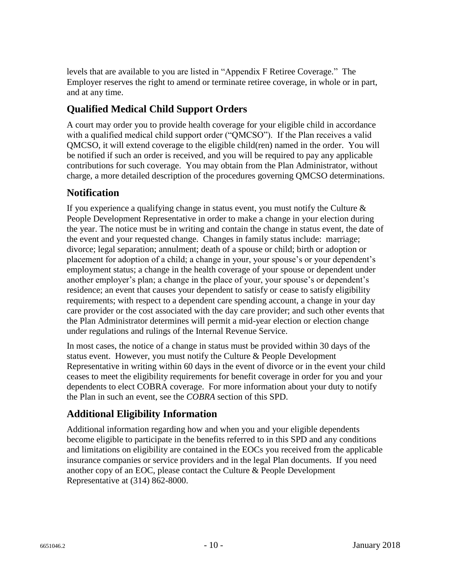levels that are available to you are listed in "Appendix F Retiree Coverage." The Employer reserves the right to amend or terminate retiree coverage, in whole or in part, and at any time.

## **Qualified Medical Child Support Orders**

A court may order you to provide health coverage for your eligible child in accordance with a qualified medical child support order ("QMCSO"). If the Plan receives a valid QMCSO, it will extend coverage to the eligible child(ren) named in the order. You will be notified if such an order is received, and you will be required to pay any applicable contributions for such coverage. You may obtain from the Plan Administrator, without charge, a more detailed description of the procedures governing QMCSO determinations.

### **Notification**

If you experience a qualifying change in status event, you must notify the Culture  $\&$ People Development Representative in order to make a change in your election during the year. The notice must be in writing and contain the change in status event, the date of the event and your requested change. Changes in family status include: marriage; divorce; legal separation; annulment; death of a spouse or child; birth or adoption or placement for adoption of a child; a change in your, your spouse's or your dependent's employment status; a change in the health coverage of your spouse or dependent under another employer's plan; a change in the place of your, your spouse's or dependent's residence; an event that causes your dependent to satisfy or cease to satisfy eligibility requirements; with respect to a dependent care spending account, a change in your day care provider or the cost associated with the day care provider; and such other events that the Plan Administrator determines will permit a mid-year election or election change under regulations and rulings of the Internal Revenue Service.

In most cases, the notice of a change in status must be provided within 30 days of the status event. However, you must notify the Culture & People Development Representative in writing within 60 days in the event of divorce or in the event your child ceases to meet the eligibility requirements for benefit coverage in order for you and your dependents to elect COBRA coverage. For more information about your duty to notify the Plan in such an event, see the *COBRA* section of this SPD.

### **Additional Eligibility Information**

Additional information regarding how and when you and your eligible dependents become eligible to participate in the benefits referred to in this SPD and any conditions and limitations on eligibility are contained in the EOCs you received from the applicable insurance companies or service providers and in the legal Plan documents. If you need another copy of an EOC, please contact the Culture & People Development Representative at (314) 862-8000.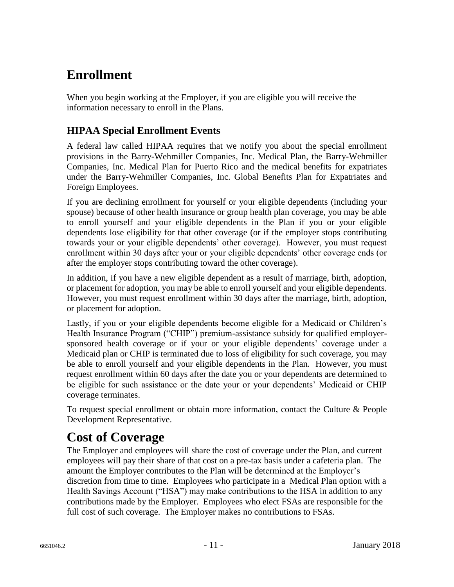# **Enrollment**

When you begin working at the Employer, if you are eligible you will receive the information necessary to enroll in the Plans.

## **HIPAA Special Enrollment Events**

A federal law called HIPAA requires that we notify you about the special enrollment provisions in the Barry-Wehmiller Companies, Inc. Medical Plan, the Barry-Wehmiller Companies, Inc. Medical Plan for Puerto Rico and the medical benefits for expatriates under the Barry-Wehmiller Companies, Inc. Global Benefits Plan for Expatriates and Foreign Employees.

If you are declining enrollment for yourself or your eligible dependents (including your spouse) because of other health insurance or group health plan coverage, you may be able to enroll yourself and your eligible dependents in the Plan if you or your eligible dependents lose eligibility for that other coverage (or if the employer stops contributing towards your or your eligible dependents' other coverage). However, you must request enrollment within 30 days after your or your eligible dependents' other coverage ends (or after the employer stops contributing toward the other coverage).

In addition, if you have a new eligible dependent as a result of marriage, birth, adoption, or placement for adoption, you may be able to enroll yourself and your eligible dependents. However, you must request enrollment within 30 days after the marriage, birth, adoption, or placement for adoption.

Lastly, if you or your eligible dependents become eligible for a Medicaid or Children's Health Insurance Program ("CHIP") premium-assistance subsidy for qualified employersponsored health coverage or if your or your eligible dependents' coverage under a Medicaid plan or CHIP is terminated due to loss of eligibility for such coverage, you may be able to enroll yourself and your eligible dependents in the Plan. However, you must request enrollment within 60 days after the date you or your dependents are determined to be eligible for such assistance or the date your or your dependents' Medicaid or CHIP coverage terminates.

To request special enrollment or obtain more information, contact the Culture & People Development Representative.

# **Cost of Coverage**

The Employer and employees will share the cost of coverage under the Plan, and current employees will pay their share of that cost on a pre-tax basis under a cafeteria plan. The amount the Employer contributes to the Plan will be determined at the Employer's discretion from time to time. Employees who participate in a Medical Plan option with a Health Savings Account ("HSA") may make contributions to the HSA in addition to any contributions made by the Employer. Employees who elect FSAs are responsible for the full cost of such coverage. The Employer makes no contributions to FSAs.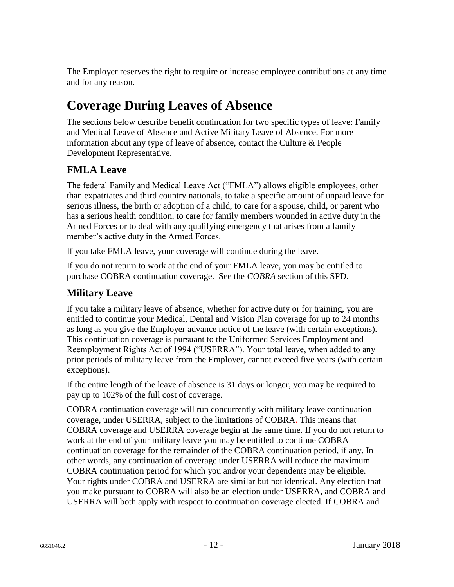The Employer reserves the right to require or increase employee contributions at any time and for any reason.

# **Coverage During Leaves of Absence**

The sections below describe benefit continuation for two specific types of leave: Family and Medical Leave of Absence and Active Military Leave of Absence. For more information about any type of leave of absence, contact the Culture & People Development Representative.

## **FMLA Leave**

The federal Family and Medical Leave Act ("FMLA") allows eligible employees, other than expatriates and third country nationals, to take a specific amount of unpaid leave for serious illness, the birth or adoption of a child, to care for a spouse, child, or parent who has a serious health condition, to care for family members wounded in active duty in the Armed Forces or to deal with any qualifying emergency that arises from a family member's active duty in the Armed Forces.

If you take FMLA leave, your coverage will continue during the leave.

If you do not return to work at the end of your FMLA leave, you may be entitled to purchase COBRA continuation coverage. See the *COBRA* section of this SPD.

## **Military Leave**

If you take a military leave of absence, whether for active duty or for training, you are entitled to continue your Medical, Dental and Vision Plan coverage for up to 24 months as long as you give the Employer advance notice of the leave (with certain exceptions). This continuation coverage is pursuant to the Uniformed Services Employment and Reemployment Rights Act of 1994 ("USERRA"). Your total leave, when added to any prior periods of military leave from the Employer, cannot exceed five years (with certain exceptions).

If the entire length of the leave of absence is 31 days or longer, you may be required to pay up to 102% of the full cost of coverage.

COBRA continuation coverage will run concurrently with military leave continuation coverage, under USERRA, subject to the limitations of COBRA. This means that COBRA coverage and USERRA coverage begin at the same time. If you do not return to work at the end of your military leave you may be entitled to continue COBRA continuation coverage for the remainder of the COBRA continuation period, if any. In other words, any continuation of coverage under USERRA will reduce the maximum COBRA continuation period for which you and/or your dependents may be eligible. Your rights under COBRA and USERRA are similar but not identical. Any election that you make pursuant to COBRA will also be an election under USERRA, and COBRA and USERRA will both apply with respect to continuation coverage elected. If COBRA and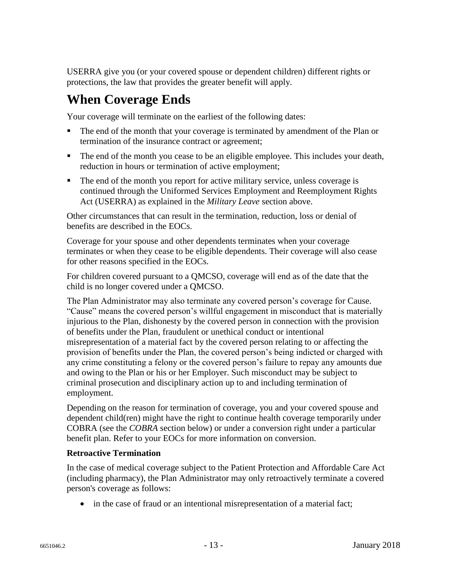USERRA give you (or your covered spouse or dependent children) different rights or protections, the law that provides the greater benefit will apply.

## **When Coverage Ends**

Your coverage will terminate on the earliest of the following dates:

- The end of the month that your coverage is terminated by amendment of the Plan or termination of the insurance contract or agreement;
- The end of the month you cease to be an eligible employee. This includes your death, reduction in hours or termination of active employment;
- The end of the month you report for active military service, unless coverage is continued through the Uniformed Services Employment and Reemployment Rights Act (USERRA) as explained in the *Military Leave* section above.

Other circumstances that can result in the termination, reduction, loss or denial of benefits are described in the EOCs.

Coverage for your spouse and other dependents terminates when your coverage terminates or when they cease to be eligible dependents. Their coverage will also cease for other reasons specified in the EOCs.

For children covered pursuant to a QMCSO, coverage will end as of the date that the child is no longer covered under a QMCSO.

The Plan Administrator may also terminate any covered person's coverage for Cause. "Cause" means the covered person's willful engagement in misconduct that is materially injurious to the Plan, dishonesty by the covered person in connection with the provision of benefits under the Plan, fraudulent or unethical conduct or intentional misrepresentation of a material fact by the covered person relating to or affecting the provision of benefits under the Plan, the covered person's being indicted or charged with any crime constituting a felony or the covered person's failure to repay any amounts due and owing to the Plan or his or her Employer. Such misconduct may be subject to criminal prosecution and disciplinary action up to and including termination of employment.

Depending on the reason for termination of coverage, you and your covered spouse and dependent child(ren) might have the right to continue health coverage temporarily under COBRA (see the *COBRA* section below) or under a conversion right under a particular benefit plan. Refer to your EOCs for more information on conversion.

#### **Retroactive Termination**

In the case of medical coverage subject to the Patient Protection and Affordable Care Act (including pharmacy), the Plan Administrator may only retroactively terminate a covered person's coverage as follows:

• in the case of fraud or an intentional misrepresentation of a material fact;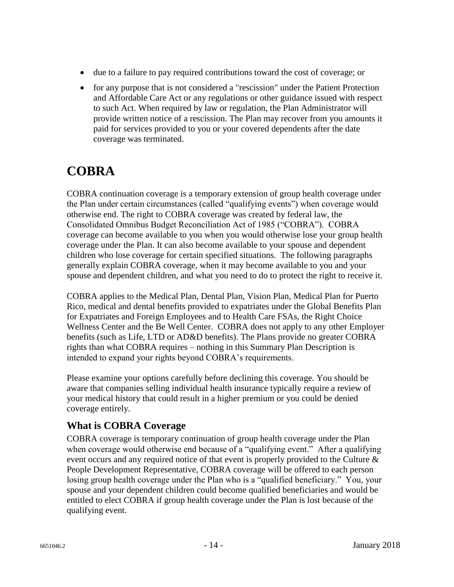- due to a failure to pay required contributions toward the cost of coverage; or
- for any purpose that is not considered a "rescission" under the Patient Protection and Affordable Care Act or any regulations or other guidance issued with respect to such Act. When required by law or regulation, the Plan Administrator will provide written notice of a rescission. The Plan may recover from you amounts it paid for services provided to you or your covered dependents after the date coverage was terminated.

# **COBRA**

COBRA continuation coverage is a temporary extension of group health coverage under the Plan under certain circumstances (called "qualifying events") when coverage would otherwise end. The right to COBRA coverage was created by federal law, the Consolidated Omnibus Budget Reconciliation Act of 1985 ("COBRA"). COBRA coverage can become available to you when you would otherwise lose your group health coverage under the Plan. It can also become available to your spouse and dependent children who lose coverage for certain specified situations. The following paragraphs generally explain COBRA coverage, when it may become available to you and your spouse and dependent children, and what you need to do to protect the right to receive it.

COBRA applies to the Medical Plan, Dental Plan, Vision Plan, Medical Plan for Puerto Rico, medical and dental benefits provided to expatriates under the Global Benefits Plan for Expatriates and Foreign Employees and to Health Care FSAs, the Right Choice Wellness Center and the Be Well Center. COBRA does not apply to any other Employer benefits (such as Life, LTD or AD&D benefits). The Plans provide no greater COBRA rights than what COBRA requires – nothing in this Summary Plan Description is intended to expand your rights beyond COBRA's requirements.

Please examine your options carefully before declining this coverage. You should be aware that companies selling individual health insurance typically require a review of your medical history that could result in a higher premium or you could be denied coverage entirely.

## **What is COBRA Coverage**

COBRA coverage is temporary continuation of group health coverage under the Plan when coverage would otherwise end because of a "qualifying event." After a qualifying event occurs and any required notice of that event is properly provided to the Culture & People Development Representative, COBRA coverage will be offered to each person losing group health coverage under the Plan who is a "qualified beneficiary." You, your spouse and your dependent children could become qualified beneficiaries and would be entitled to elect COBRA if group health coverage under the Plan is lost because of the qualifying event.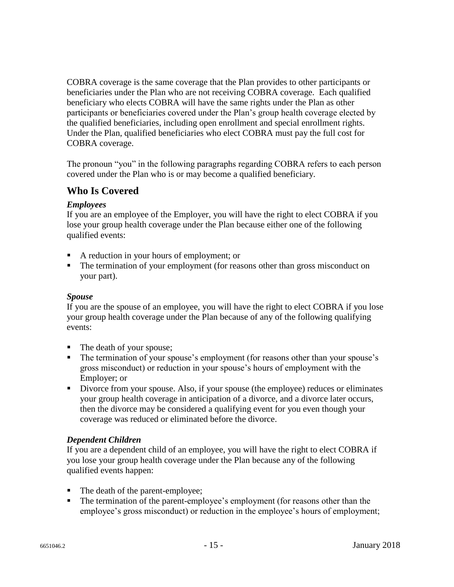COBRA coverage is the same coverage that the Plan provides to other participants or beneficiaries under the Plan who are not receiving COBRA coverage. Each qualified beneficiary who elects COBRA will have the same rights under the Plan as other participants or beneficiaries covered under the Plan's group health coverage elected by the qualified beneficiaries, including open enrollment and special enrollment rights. Under the Plan, qualified beneficiaries who elect COBRA must pay the full cost for COBRA coverage.

The pronoun "you" in the following paragraphs regarding COBRA refers to each person covered under the Plan who is or may become a qualified beneficiary.

## **Who Is Covered**

#### *Employees*

If you are an employee of the Employer, you will have the right to elect COBRA if you lose your group health coverage under the Plan because either one of the following qualified events:

- A reduction in your hours of employment; or
- The termination of your employment (for reasons other than gross misconduct on your part).

#### *Spouse*

If you are the spouse of an employee, you will have the right to elect COBRA if you lose your group health coverage under the Plan because of any of the following qualifying events:

- The death of your spouse;
- The termination of your spouse's employment (for reasons other than your spouse's gross misconduct) or reduction in your spouse's hours of employment with the Employer; or
- Divorce from your spouse. Also, if your spouse (the employee) reduces or eliminates your group health coverage in anticipation of a divorce, and a divorce later occurs, then the divorce may be considered a qualifying event for you even though your coverage was reduced or eliminated before the divorce.

#### *Dependent Children*

If you are a dependent child of an employee, you will have the right to elect COBRA if you lose your group health coverage under the Plan because any of the following qualified events happen:

- The death of the parent-employee;
- The termination of the parent-employee's employment (for reasons other than the employee's gross misconduct) or reduction in the employee's hours of employment;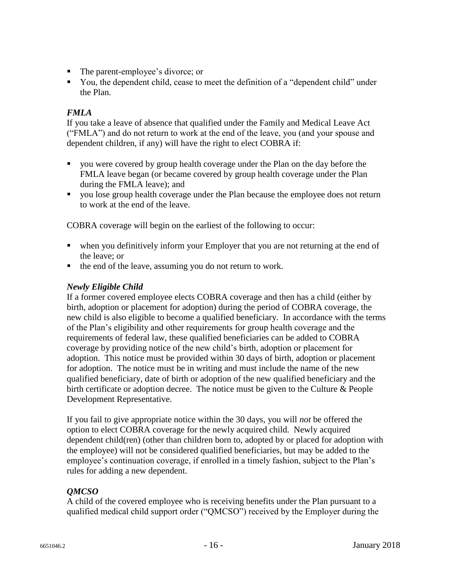- The parent-employee's divorce; or
- You, the dependent child, cease to meet the definition of a "dependent child" under the Plan.

#### *FMLA*

If you take a leave of absence that qualified under the Family and Medical Leave Act ("FMLA") and do not return to work at the end of the leave, you (and your spouse and dependent children, if any) will have the right to elect COBRA if:

- you were covered by group health coverage under the Plan on the day before the FMLA leave began (or became covered by group health coverage under the Plan during the FMLA leave); and
- vou lose group health coverage under the Plan because the employee does not return to work at the end of the leave.

COBRA coverage will begin on the earliest of the following to occur:

- when you definitively inform your Employer that you are not returning at the end of the leave; or
- the end of the leave, assuming you do not return to work.

#### *Newly Eligible Child*

If a former covered employee elects COBRA coverage and then has a child (either by birth, adoption or placement for adoption) during the period of COBRA coverage, the new child is also eligible to become a qualified beneficiary. In accordance with the terms of the Plan's eligibility and other requirements for group health coverage and the requirements of federal law, these qualified beneficiaries can be added to COBRA coverage by providing notice of the new child's birth, adoption or placement for adoption. This notice must be provided within 30 days of birth, adoption or placement for adoption. The notice must be in writing and must include the name of the new qualified beneficiary, date of birth or adoption of the new qualified beneficiary and the birth certificate or adoption decree. The notice must be given to the Culture & People Development Representative.

If you fail to give appropriate notice within the 30 days, you will *not* be offered the option to elect COBRA coverage for the newly acquired child. Newly acquired dependent child(ren) (other than children born to, adopted by or placed for adoption with the employee) will not be considered qualified beneficiaries, but may be added to the employee's continuation coverage, if enrolled in a timely fashion, subject to the Plan's rules for adding a new dependent.

#### *QMCSO*

A child of the covered employee who is receiving benefits under the Plan pursuant to a qualified medical child support order ("QMCSO") received by the Employer during the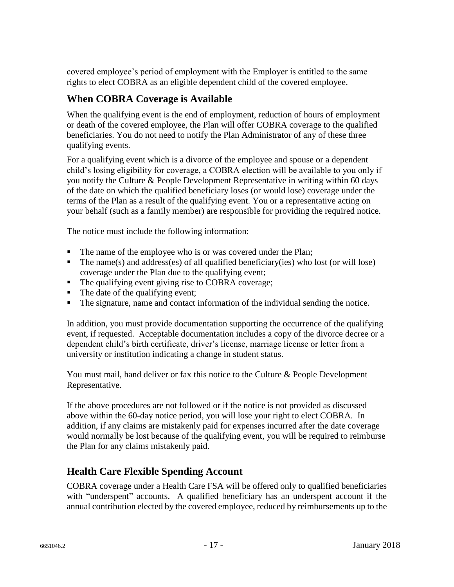covered employee's period of employment with the Employer is entitled to the same rights to elect COBRA as an eligible dependent child of the covered employee.

## **When COBRA Coverage is Available**

When the qualifying event is the end of employment, reduction of hours of employment or death of the covered employee, the Plan will offer COBRA coverage to the qualified beneficiaries. You do not need to notify the Plan Administrator of any of these three qualifying events.

For a qualifying event which is a divorce of the employee and spouse or a dependent child's losing eligibility for coverage, a COBRA election will be available to you only if you notify the Culture & People Development Representative in writing within 60 days of the date on which the qualified beneficiary loses (or would lose) coverage under the terms of the Plan as a result of the qualifying event. You or a representative acting on your behalf (such as a family member) are responsible for providing the required notice.

The notice must include the following information:

- The name of the employee who is or was covered under the Plan;
- $\blacksquare$  The name(s) and address(es) of all qualified beneficiary(ies) who lost (or will lose) coverage under the Plan due to the qualifying event;
- The qualifying event giving rise to COBRA coverage;
- The date of the qualifying event;
- The signature, name and contact information of the individual sending the notice.

In addition, you must provide documentation supporting the occurrence of the qualifying event, if requested. Acceptable documentation includes a copy of the divorce decree or a dependent child's birth certificate, driver's license, marriage license or letter from a university or institution indicating a change in student status.

You must mail, hand deliver or fax this notice to the Culture & People Development Representative.

If the above procedures are not followed or if the notice is not provided as discussed above within the 60-day notice period, you will lose your right to elect COBRA. In addition, if any claims are mistakenly paid for expenses incurred after the date coverage would normally be lost because of the qualifying event, you will be required to reimburse the Plan for any claims mistakenly paid.

### **Health Care Flexible Spending Account**

COBRA coverage under a Health Care FSA will be offered only to qualified beneficiaries with "underspent" accounts. A qualified beneficiary has an underspent account if the annual contribution elected by the covered employee, reduced by reimbursements up to the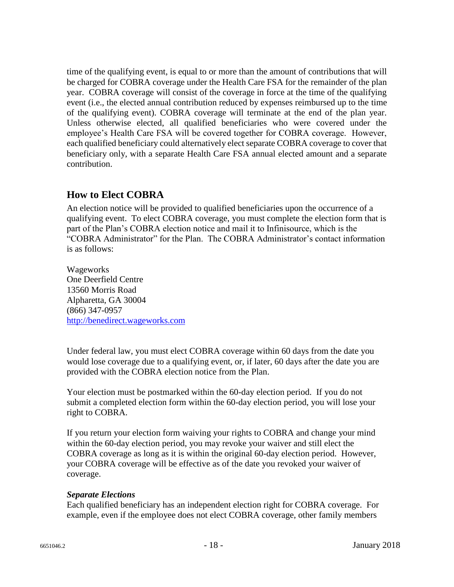time of the qualifying event, is equal to or more than the amount of contributions that will be charged for COBRA coverage under the Health Care FSA for the remainder of the plan year. COBRA coverage will consist of the coverage in force at the time of the qualifying event (i.e., the elected annual contribution reduced by expenses reimbursed up to the time of the qualifying event). COBRA coverage will terminate at the end of the plan year. Unless otherwise elected, all qualified beneficiaries who were covered under the employee's Health Care FSA will be covered together for COBRA coverage. However, each qualified beneficiary could alternatively elect separate COBRA coverage to cover that beneficiary only, with a separate Health Care FSA annual elected amount and a separate contribution.

### **How to Elect COBRA**

An election notice will be provided to qualified beneficiaries upon the occurrence of a qualifying event. To elect COBRA coverage, you must complete the election form that is part of the Plan's COBRA election notice and mail it to Infinisource, which is the "COBRA Administrator" for the Plan. The COBRA Administrator's contact information is as follows:

Wageworks One Deerfield Centre 13560 Morris Road Alpharetta, GA 30004 (866) 347-0957 [http://benedirect.wageworks.com](https://urldefense.proofpoint.com/v2/url?u=http-3A__benedirect.wageworks.com&d=DwMFAw&c=ellJ-5tDmfxtttt7Ym2HoaGn_D0VNa5SKwuvPocGFSE&r=7sDQhhJ8DaVPRYsrIyxYqvSRD9wysbFhnntHNK4TZjg&m=CTMW3A6MlajsRO2N53fpulI-hnrcbRMkOVz_LgPDFAo&s=VY8HjaGVQehFfQniRS35fHZStKnWKTG33SGYT9ij8IE&e=)

Under federal law, you must elect COBRA coverage within 60 days from the date you would lose coverage due to a qualifying event, or, if later, 60 days after the date you are provided with the COBRA election notice from the Plan.

Your election must be postmarked within the 60-day election period. If you do not submit a completed election form within the 60-day election period, you will lose your right to COBRA.

If you return your election form waiving your rights to COBRA and change your mind within the 60-day election period, you may revoke your waiver and still elect the COBRA coverage as long as it is within the original 60-day election period. However, your COBRA coverage will be effective as of the date you revoked your waiver of coverage.

#### *Separate Elections*

Each qualified beneficiary has an independent election right for COBRA coverage. For example, even if the employee does not elect COBRA coverage, other family members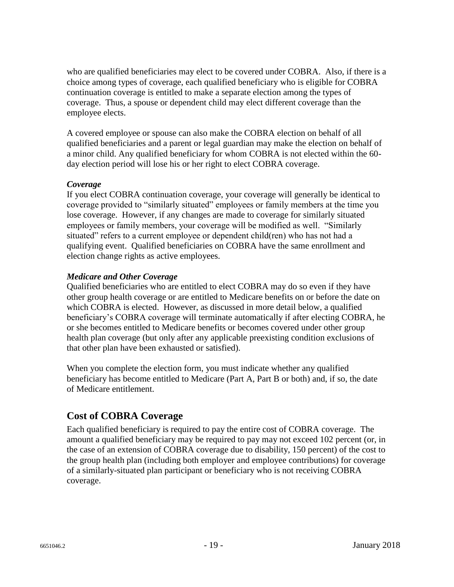who are qualified beneficiaries may elect to be covered under COBRA. Also, if there is a choice among types of coverage, each qualified beneficiary who is eligible for COBRA continuation coverage is entitled to make a separate election among the types of coverage. Thus, a spouse or dependent child may elect different coverage than the employee elects.

A covered employee or spouse can also make the COBRA election on behalf of all qualified beneficiaries and a parent or legal guardian may make the election on behalf of a minor child. Any qualified beneficiary for whom COBRA is not elected within the 60 day election period will lose his or her right to elect COBRA coverage.

#### *Coverage*

If you elect COBRA continuation coverage, your coverage will generally be identical to coverage provided to "similarly situated" employees or family members at the time you lose coverage. However, if any changes are made to coverage for similarly situated employees or family members, your coverage will be modified as well. "Similarly situated" refers to a current employee or dependent child(ren) who has not had a qualifying event. Qualified beneficiaries on COBRA have the same enrollment and election change rights as active employees.

#### *Medicare and Other Coverage*

Qualified beneficiaries who are entitled to elect COBRA may do so even if they have other group health coverage or are entitled to Medicare benefits on or before the date on which COBRA is elected. However, as discussed in more detail below, a qualified beneficiary's COBRA coverage will terminate automatically if after electing COBRA, he or she becomes entitled to Medicare benefits or becomes covered under other group health plan coverage (but only after any applicable preexisting condition exclusions of that other plan have been exhausted or satisfied).

When you complete the election form, you must indicate whether any qualified beneficiary has become entitled to Medicare (Part A, Part B or both) and, if so, the date of Medicare entitlement.

### **Cost of COBRA Coverage**

Each qualified beneficiary is required to pay the entire cost of COBRA coverage. The amount a qualified beneficiary may be required to pay may not exceed 102 percent (or, in the case of an extension of COBRA coverage due to disability, 150 percent) of the cost to the group health plan (including both employer and employee contributions) for coverage of a similarly-situated plan participant or beneficiary who is not receiving COBRA coverage.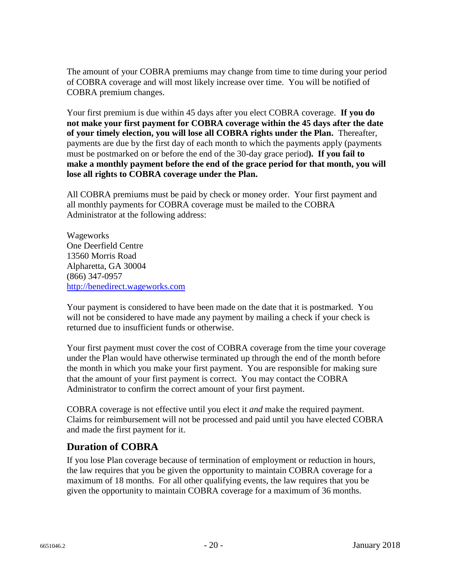The amount of your COBRA premiums may change from time to time during your period of COBRA coverage and will most likely increase over time. You will be notified of COBRA premium changes.

Your first premium is due within 45 days after you elect COBRA coverage. **If you do not make your first payment for COBRA coverage within the 45 days after the date of your timely election, you will lose all COBRA rights under the Plan.** Thereafter, payments are due by the first day of each month to which the payments apply (payments must be postmarked on or before the end of the 30-day grace period**). If you fail to make a monthly payment before the end of the grace period for that month, you will lose all rights to COBRA coverage under the Plan.**

All COBRA premiums must be paid by check or money order. Your first payment and all monthly payments for COBRA coverage must be mailed to the COBRA Administrator at the following address:

Wageworks One Deerfield Centre 13560 Morris Road Alpharetta, GA 30004 (866) 347-0957 [http://benedirect.wageworks.com](https://urldefense.proofpoint.com/v2/url?u=http-3A__benedirect.wageworks.com&d=DwMFAw&c=ellJ-5tDmfxtttt7Ym2HoaGn_D0VNa5SKwuvPocGFSE&r=7sDQhhJ8DaVPRYsrIyxYqvSRD9wysbFhnntHNK4TZjg&m=CTMW3A6MlajsRO2N53fpulI-hnrcbRMkOVz_LgPDFAo&s=VY8HjaGVQehFfQniRS35fHZStKnWKTG33SGYT9ij8IE&e=)

Your payment is considered to have been made on the date that it is postmarked. You will not be considered to have made any payment by mailing a check if your check is returned due to insufficient funds or otherwise.

Your first payment must cover the cost of COBRA coverage from the time your coverage under the Plan would have otherwise terminated up through the end of the month before the month in which you make your first payment. You are responsible for making sure that the amount of your first payment is correct. You may contact the COBRA Administrator to confirm the correct amount of your first payment.

COBRA coverage is not effective until you elect it *and* make the required payment. Claims for reimbursement will not be processed and paid until you have elected COBRA and made the first payment for it.

### **Duration of COBRA**

If you lose Plan coverage because of termination of employment or reduction in hours, the law requires that you be given the opportunity to maintain COBRA coverage for a maximum of 18 months. For all other qualifying events, the law requires that you be given the opportunity to maintain COBRA coverage for a maximum of 36 months.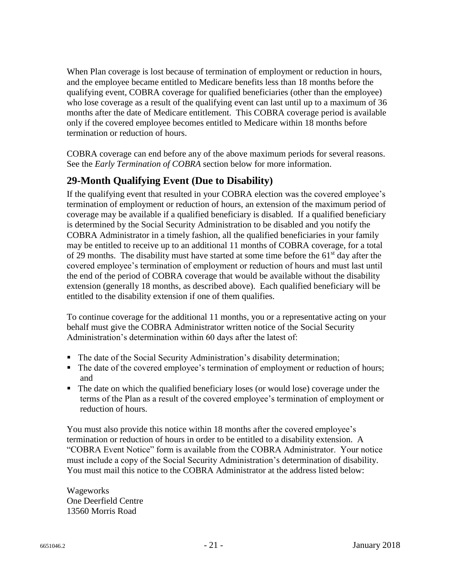When Plan coverage is lost because of termination of employment or reduction in hours, and the employee became entitled to Medicare benefits less than 18 months before the qualifying event, COBRA coverage for qualified beneficiaries (other than the employee) who lose coverage as a result of the qualifying event can last until up to a maximum of 36 months after the date of Medicare entitlement. This COBRA coverage period is available only if the covered employee becomes entitled to Medicare within 18 months before termination or reduction of hours.

COBRA coverage can end before any of the above maximum periods for several reasons. See the *Early Termination of COBRA* section below for more information.

## **29-Month Qualifying Event (Due to Disability)**

If the qualifying event that resulted in your COBRA election was the covered employee's termination of employment or reduction of hours, an extension of the maximum period of coverage may be available if a qualified beneficiary is disabled. If a qualified beneficiary is determined by the Social Security Administration to be disabled and you notify the COBRA Administrator in a timely fashion, all the qualified beneficiaries in your family may be entitled to receive up to an additional 11 months of COBRA coverage, for a total of 29 months. The disability must have started at some time before the  $61<sup>st</sup>$  day after the covered employee's termination of employment or reduction of hours and must last until the end of the period of COBRA coverage that would be available without the disability extension (generally 18 months, as described above). Each qualified beneficiary will be entitled to the disability extension if one of them qualifies.

To continue coverage for the additional 11 months, you or a representative acting on your behalf must give the COBRA Administrator written notice of the Social Security Administration's determination within 60 days after the latest of:

- The date of the Social Security Administration's disability determination;
- The date of the covered employee's termination of employment or reduction of hours; and
- The date on which the qualified beneficiary loses (or would lose) coverage under the terms of the Plan as a result of the covered employee's termination of employment or reduction of hours.

You must also provide this notice within 18 months after the covered employee's termination or reduction of hours in order to be entitled to a disability extension. A "COBRA Event Notice" form is available from the COBRA Administrator. Your notice must include a copy of the Social Security Administration's determination of disability. You must mail this notice to the COBRA Administrator at the address listed below:

Wageworks One Deerfield Centre 13560 Morris Road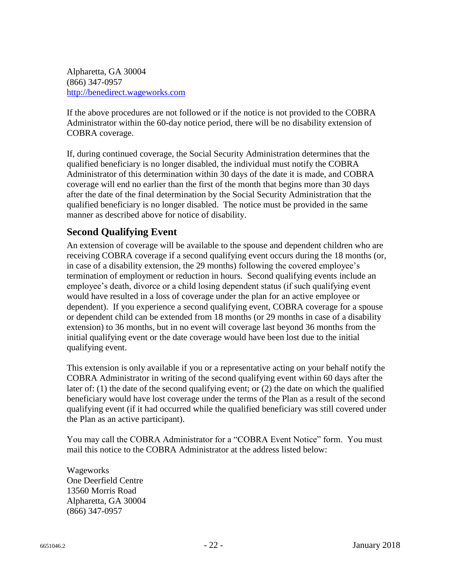Alpharetta, GA 30004 (866) 347-0957 [http://benedirect.wageworks.com](https://urldefense.proofpoint.com/v2/url?u=http-3A__benedirect.wageworks.com&d=DwMFAw&c=ellJ-5tDmfxtttt7Ym2HoaGn_D0VNa5SKwuvPocGFSE&r=7sDQhhJ8DaVPRYsrIyxYqvSRD9wysbFhnntHNK4TZjg&m=CTMW3A6MlajsRO2N53fpulI-hnrcbRMkOVz_LgPDFAo&s=VY8HjaGVQehFfQniRS35fHZStKnWKTG33SGYT9ij8IE&e=)

If the above procedures are not followed or if the notice is not provided to the COBRA Administrator within the 60-day notice period, there will be no disability extension of COBRA coverage.

If, during continued coverage, the Social Security Administration determines that the qualified beneficiary is no longer disabled, the individual must notify the COBRA Administrator of this determination within 30 days of the date it is made, and COBRA coverage will end no earlier than the first of the month that begins more than 30 days after the date of the final determination by the Social Security Administration that the qualified beneficiary is no longer disabled. The notice must be provided in the same manner as described above for notice of disability.

## **Second Qualifying Event**

An extension of coverage will be available to the spouse and dependent children who are receiving COBRA coverage if a second qualifying event occurs during the 18 months (or, in case of a disability extension, the 29 months) following the covered employee's termination of employment or reduction in hours. Second qualifying events include an employee's death, divorce or a child losing dependent status (if such qualifying event would have resulted in a loss of coverage under the plan for an active employee or dependent). If you experience a second qualifying event, COBRA coverage for a spouse or dependent child can be extended from 18 months (or 29 months in case of a disability extension) to 36 months, but in no event will coverage last beyond 36 months from the initial qualifying event or the date coverage would have been lost due to the initial qualifying event.

This extension is only available if you or a representative acting on your behalf notify the COBRA Administrator in writing of the second qualifying event within 60 days after the later of: (1) the date of the second qualifying event; or (2) the date on which the qualified beneficiary would have lost coverage under the terms of the Plan as a result of the second qualifying event (if it had occurred while the qualified beneficiary was still covered under the Plan as an active participant).

You may call the COBRA Administrator for a "COBRA Event Notice" form. You must mail this notice to the COBRA Administrator at the address listed below:

Wageworks One Deerfield Centre 13560 Morris Road Alpharetta, GA 30004 (866) 347-0957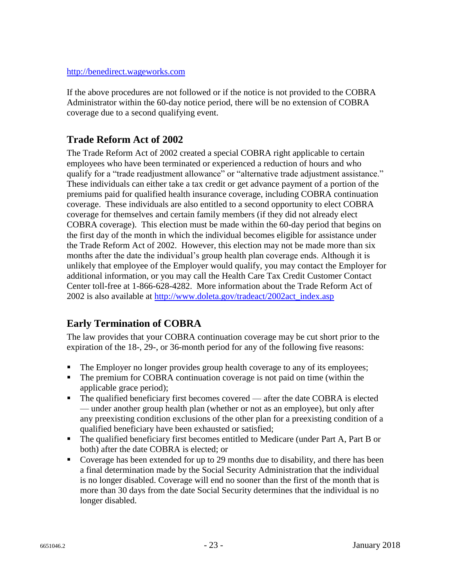#### [http://benedirect.wageworks.com](https://urldefense.proofpoint.com/v2/url?u=http-3A__benedirect.wageworks.com&d=DwMFAw&c=ellJ-5tDmfxtttt7Ym2HoaGn_D0VNa5SKwuvPocGFSE&r=7sDQhhJ8DaVPRYsrIyxYqvSRD9wysbFhnntHNK4TZjg&m=CTMW3A6MlajsRO2N53fpulI-hnrcbRMkOVz_LgPDFAo&s=VY8HjaGVQehFfQniRS35fHZStKnWKTG33SGYT9ij8IE&e=)

If the above procedures are not followed or if the notice is not provided to the COBRA Administrator within the 60-day notice period, there will be no extension of COBRA coverage due to a second qualifying event.

## **Trade Reform Act of 2002**

The Trade Reform Act of 2002 created a special COBRA right applicable to certain employees who have been terminated or experienced a reduction of hours and who qualify for a "trade readjustment allowance" or "alternative trade adjustment assistance." These individuals can either take a tax credit or get advance payment of a portion of the premiums paid for qualified health insurance coverage, including COBRA continuation coverage. These individuals are also entitled to a second opportunity to elect COBRA coverage for themselves and certain family members (if they did not already elect COBRA coverage). This election must be made within the 60-day period that begins on the first day of the month in which the individual becomes eligible for assistance under the Trade Reform Act of 2002. However, this election may not be made more than six months after the date the individual's group health plan coverage ends. Although it is unlikely that employee of the Employer would qualify, you may contact the Employer for additional information, or you may call the Health Care Tax Credit Customer Contact Center toll-free at 1-866-628-4282. More information about the Trade Reform Act of 2002 is also available at [http://www.](http://www/)doleta.gov/tradeact/2002act\_index.asp

## **Early Termination of COBRA**

The law provides that your COBRA continuation coverage may be cut short prior to the expiration of the 18-, 29-, or 36-month period for any of the following five reasons:

- The Employer no longer provides group health coverage to any of its employees;
- The premium for COBRA continuation coverage is not paid on time (within the applicable grace period);
- The qualified beneficiary first becomes covered after the date COBRA is elected — under another group health plan (whether or not as an employee), but only after any preexisting condition exclusions of the other plan for a preexisting condition of a qualified beneficiary have been exhausted or satisfied;
- The qualified beneficiary first becomes entitled to Medicare (under Part A, Part B or both) after the date COBRA is elected; or
- Coverage has been extended for up to 29 months due to disability, and there has been a final determination made by the Social Security Administration that the individual is no longer disabled. Coverage will end no sooner than the first of the month that is more than 30 days from the date Social Security determines that the individual is no longer disabled.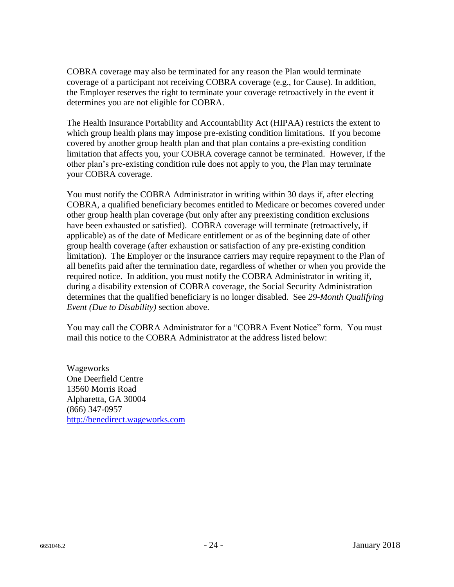COBRA coverage may also be terminated for any reason the Plan would terminate coverage of a participant not receiving COBRA coverage (e.g., for Cause). In addition, the Employer reserves the right to terminate your coverage retroactively in the event it determines you are not eligible for COBRA.

The Health Insurance Portability and Accountability Act (HIPAA) restricts the extent to which group health plans may impose pre-existing condition limitations. If you become covered by another group health plan and that plan contains a pre-existing condition limitation that affects you, your COBRA coverage cannot be terminated. However, if the other plan's pre-existing condition rule does not apply to you, the Plan may terminate your COBRA coverage.

You must notify the COBRA Administrator in writing within 30 days if, after electing COBRA, a qualified beneficiary becomes entitled to Medicare or becomes covered under other group health plan coverage (but only after any preexisting condition exclusions have been exhausted or satisfied). COBRA coverage will terminate (retroactively, if applicable) as of the date of Medicare entitlement or as of the beginning date of other group health coverage (after exhaustion or satisfaction of any pre-existing condition limitation). The Employer or the insurance carriers may require repayment to the Plan of all benefits paid after the termination date, regardless of whether or when you provide the required notice. In addition, you must notify the COBRA Administrator in writing if, during a disability extension of COBRA coverage, the Social Security Administration determines that the qualified beneficiary is no longer disabled. See *29-Month Qualifying Event (Due to Disability)* section above.

You may call the COBRA Administrator for a "COBRA Event Notice" form. You must mail this notice to the COBRA Administrator at the address listed below:

Wageworks One Deerfield Centre 13560 Morris Road Alpharetta, GA 30004 (866) 347-0957 [http://benedirect.wageworks.com](https://urldefense.proofpoint.com/v2/url?u=http-3A__benedirect.wageworks.com&d=DwMFAw&c=ellJ-5tDmfxtttt7Ym2HoaGn_D0VNa5SKwuvPocGFSE&r=7sDQhhJ8DaVPRYsrIyxYqvSRD9wysbFhnntHNK4TZjg&m=CTMW3A6MlajsRO2N53fpulI-hnrcbRMkOVz_LgPDFAo&s=VY8HjaGVQehFfQniRS35fHZStKnWKTG33SGYT9ij8IE&e=)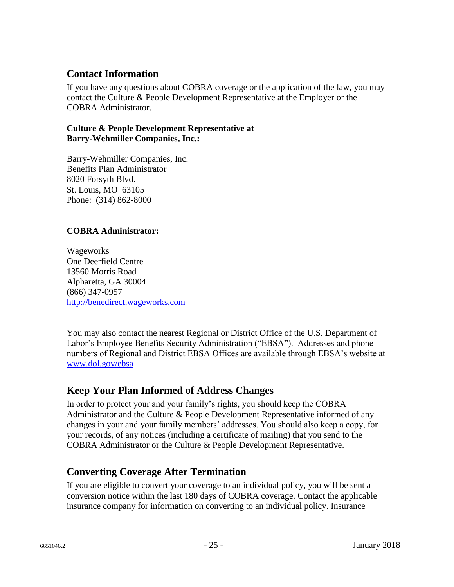### **Contact Information**

If you have any questions about COBRA coverage or the application of the law, you may contact the Culture & People Development Representative at the Employer or the COBRA Administrator.

#### **Culture & People Development Representative at Barry-Wehmiller Companies, Inc.:**

Barry-Wehmiller Companies, Inc. Benefits Plan Administrator 8020 Forsyth Blvd. St. Louis, MO 63105 Phone: (314) 862-8000

#### **COBRA Administrator:**

Wageworks One Deerfield Centre 13560 Morris Road Alpharetta, GA 30004 (866) 347-0957 [http://benedirect.wageworks.com](https://urldefense.proofpoint.com/v2/url?u=http-3A__benedirect.wageworks.com&d=DwMFAw&c=ellJ-5tDmfxtttt7Ym2HoaGn_D0VNa5SKwuvPocGFSE&r=7sDQhhJ8DaVPRYsrIyxYqvSRD9wysbFhnntHNK4TZjg&m=CTMW3A6MlajsRO2N53fpulI-hnrcbRMkOVz_LgPDFAo&s=VY8HjaGVQehFfQniRS35fHZStKnWKTG33SGYT9ij8IE&e=)

You may also contact the nearest Regional or District Office of the U.S. Department of Labor's Employee Benefits Security Administration ("EBSA"). Addresses and phone numbers of Regional and District EBSA Offices are available through EBSA's website at [www.dol.](http://www.dol/)gov/ebsa

### **Keep Your Plan Informed of Address Changes**

In order to protect your and your family's rights, you should keep the COBRA Administrator and the Culture & People Development Representative informed of any changes in your and your family members' addresses. You should also keep a copy, for your records, of any notices (including a certificate of mailing) that you send to the COBRA Administrator or the Culture & People Development Representative.

### **Converting Coverage After Termination**

If you are eligible to convert your coverage to an individual policy, you will be sent a conversion notice within the last 180 days of COBRA coverage. Contact the applicable insurance company for information on converting to an individual policy. Insurance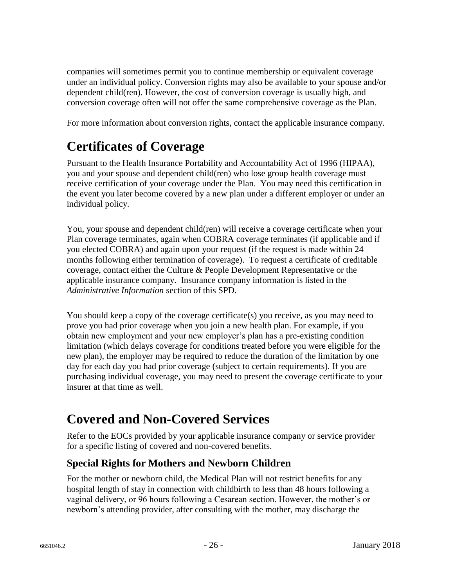companies will sometimes permit you to continue membership or equivalent coverage under an individual policy. Conversion rights may also be available to your spouse and/or dependent child(ren). However, the cost of conversion coverage is usually high, and conversion coverage often will not offer the same comprehensive coverage as the Plan.

For more information about conversion rights, contact the applicable insurance company.

# **Certificates of Coverage**

Pursuant to the Health Insurance Portability and Accountability Act of 1996 (HIPAA), you and your spouse and dependent child(ren) who lose group health coverage must receive certification of your coverage under the Plan. You may need this certification in the event you later become covered by a new plan under a different employer or under an individual policy.

You, your spouse and dependent child(ren) will receive a coverage certificate when your Plan coverage terminates, again when COBRA coverage terminates (if applicable and if you elected COBRA) and again upon your request (if the request is made within 24 months following either termination of coverage). To request a certificate of creditable coverage, contact either the Culture & People Development Representative or the applicable insurance company. Insurance company information is listed in the *Administrative Information* section of this SPD.

You should keep a copy of the coverage certificate(s) you receive, as you may need to prove you had prior coverage when you join a new health plan. For example, if you obtain new employment and your new employer's plan has a pre-existing condition limitation (which delays coverage for conditions treated before you were eligible for the new plan), the employer may be required to reduce the duration of the limitation by one day for each day you had prior coverage (subject to certain requirements). If you are purchasing individual coverage, you may need to present the coverage certificate to your insurer at that time as well.

# **Covered and Non-Covered Services**

Refer to the EOCs provided by your applicable insurance company or service provider for a specific listing of covered and non-covered benefits.

## **Special Rights for Mothers and Newborn Children**

For the mother or newborn child, the Medical Plan will not restrict benefits for any hospital length of stay in connection with childbirth to less than 48 hours following a vaginal delivery, or 96 hours following a Cesarean section. However, the mother's or newborn's attending provider, after consulting with the mother, may discharge the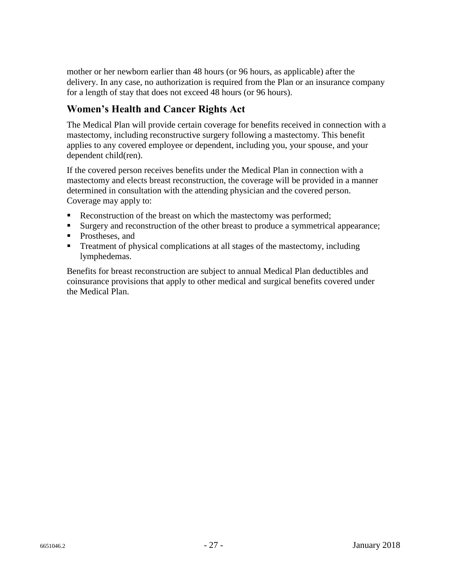mother or her newborn earlier than 48 hours (or 96 hours, as applicable) after the delivery. In any case, no authorization is required from the Plan or an insurance company for a length of stay that does not exceed 48 hours (or 96 hours).

## **Women's Health and Cancer Rights Act**

The Medical Plan will provide certain coverage for benefits received in connection with a mastectomy, including reconstructive surgery following a mastectomy. This benefit applies to any covered employee or dependent, including you, your spouse, and your dependent child(ren).

If the covered person receives benefits under the Medical Plan in connection with a mastectomy and elects breast reconstruction, the coverage will be provided in a manner determined in consultation with the attending physician and the covered person. Coverage may apply to:

- Reconstruction of the breast on which the mastectomy was performed;
- Surgery and reconstruction of the other breast to produce a symmetrical appearance;
- Prostheses, and
- **Treatment of physical complications at all stages of the mastectomy, including** lymphedemas.

Benefits for breast reconstruction are subject to annual Medical Plan deductibles and coinsurance provisions that apply to other medical and surgical benefits covered under the Medical Plan.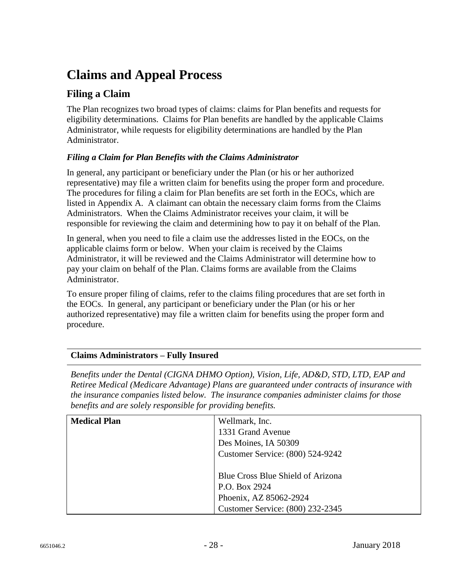# **Claims and Appeal Process**

### **Filing a Claim**

The Plan recognizes two broad types of claims: claims for Plan benefits and requests for eligibility determinations. Claims for Plan benefits are handled by the applicable Claims Administrator, while requests for eligibility determinations are handled by the Plan Administrator.

#### *Filing a Claim for Plan Benefits with the Claims Administrator*

In general, any participant or beneficiary under the Plan (or his or her authorized representative) may file a written claim for benefits using the proper form and procedure. The procedures for filing a claim for Plan benefits are set forth in the EOCs, which are listed in Appendix A. A claimant can obtain the necessary claim forms from the Claims Administrators. When the Claims Administrator receives your claim, it will be responsible for reviewing the claim and determining how to pay it on behalf of the Plan.

In general, when you need to file a claim use the addresses listed in the EOCs, on the applicable claims form or below. When your claim is received by the Claims Administrator, it will be reviewed and the Claims Administrator will determine how to pay your claim on behalf of the Plan. Claims forms are available from the Claims Administrator.

To ensure proper filing of claims, refer to the claims filing procedures that are set forth in the EOCs. In general, any participant or beneficiary under the Plan (or his or her authorized representative) may file a written claim for benefits using the proper form and procedure.

#### **Claims Administrators – Fully Insured**

*Benefits under the Dental (CIGNA DHMO Option), Vision, Life, AD&D, STD, LTD, EAP and Retiree Medical (Medicare Advantage) Plans are guaranteed under contracts of insurance with the insurance companies listed below. The insurance companies administer claims for those benefits and are solely responsible for providing benefits.* 

| <b>Medical Plan</b> | Wellmark, Inc.<br>1331 Grand Avenue<br>Des Moines, IA 50309<br>Customer Service: (800) 524-9242                  |
|---------------------|------------------------------------------------------------------------------------------------------------------|
|                     | Blue Cross Blue Shield of Arizona<br>P.O. Box 2924<br>Phoenix, AZ 85062-2924<br>Customer Service: (800) 232-2345 |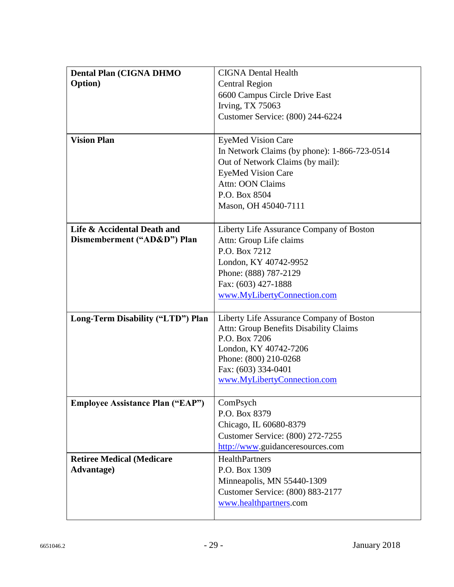| <b>Dental Plan (CIGNA DHMO</b><br><b>Option</b> ) | <b>CIGNA Dental Health</b><br><b>Central Region</b>  |  |  |  |  |  |
|---------------------------------------------------|------------------------------------------------------|--|--|--|--|--|
|                                                   | 6600 Campus Circle Drive East                        |  |  |  |  |  |
|                                                   | Irving, TX 75063<br>Customer Service: (800) 244-6224 |  |  |  |  |  |
|                                                   |                                                      |  |  |  |  |  |
| <b>Vision Plan</b>                                | <b>EyeMed Vision Care</b>                            |  |  |  |  |  |
|                                                   | In Network Claims (by phone): 1-866-723-0514         |  |  |  |  |  |
|                                                   | Out of Network Claims (by mail):                     |  |  |  |  |  |
|                                                   | <b>EyeMed Vision Care</b>                            |  |  |  |  |  |
|                                                   | <b>Attn: OON Claims</b>                              |  |  |  |  |  |
|                                                   | P.O. Box 8504                                        |  |  |  |  |  |
|                                                   | Mason, OH 45040-7111                                 |  |  |  |  |  |
|                                                   |                                                      |  |  |  |  |  |
| Life & Accidental Death and                       | Liberty Life Assurance Company of Boston             |  |  |  |  |  |
| Dismemberment ("AD&D") Plan                       | Attn: Group Life claims<br>P.O. Box 7212             |  |  |  |  |  |
|                                                   |                                                      |  |  |  |  |  |
|                                                   | London, KY 40742-9952                                |  |  |  |  |  |
|                                                   | Phone: (888) 787-2129<br>Fax: (603) 427-1888         |  |  |  |  |  |
|                                                   | www.MyLibertyConnection.com                          |  |  |  |  |  |
|                                                   |                                                      |  |  |  |  |  |
| Long-Term Disability ("LTD") Plan                 | Liberty Life Assurance Company of Boston             |  |  |  |  |  |
|                                                   | Attn: Group Benefits Disability Claims               |  |  |  |  |  |
|                                                   | P.O. Box 7206                                        |  |  |  |  |  |
|                                                   | London, KY 40742-7206                                |  |  |  |  |  |
|                                                   | Phone: (800) 210-0268                                |  |  |  |  |  |
|                                                   | Fax: (603) 334-0401                                  |  |  |  |  |  |
|                                                   | www.MyLibertyConnection.com                          |  |  |  |  |  |
| <b>Employee Assistance Plan ("EAP")</b>           | ComPsych                                             |  |  |  |  |  |
|                                                   | P.O. Box 8379                                        |  |  |  |  |  |
|                                                   | Chicago, IL 60680-8379                               |  |  |  |  |  |
|                                                   | Customer Service: (800) 272-7255                     |  |  |  |  |  |
|                                                   | http://www.guidanceresources.com                     |  |  |  |  |  |
| <b>Retiree Medical (Medicare</b>                  | <b>HealthPartners</b>                                |  |  |  |  |  |
| <b>Advantage</b> )                                | P.O. Box 1309                                        |  |  |  |  |  |
|                                                   | Minneapolis, MN 55440-1309                           |  |  |  |  |  |
|                                                   | Customer Service: (800) 883-2177                     |  |  |  |  |  |
|                                                   | www.healthpartners.com                               |  |  |  |  |  |
|                                                   |                                                      |  |  |  |  |  |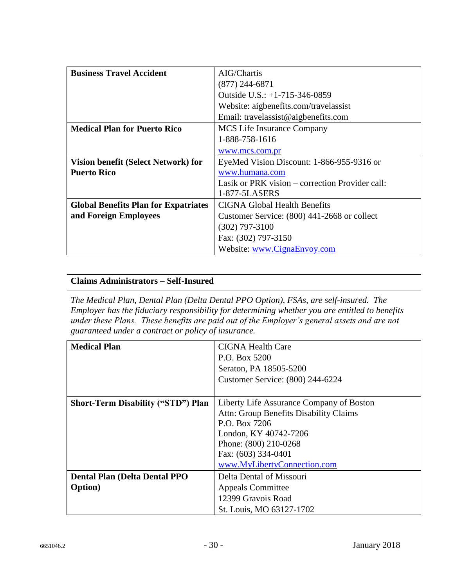| <b>Business Travel Accident</b>             | AIG/Chartis                                     |  |  |  |  |
|---------------------------------------------|-------------------------------------------------|--|--|--|--|
|                                             | $(877)$ 244-6871                                |  |  |  |  |
|                                             | Outside U.S.: $+1-715-346-0859$                 |  |  |  |  |
|                                             | Website: aigbenefits.com/travelassist           |  |  |  |  |
|                                             | Email: travelassist@aigbenefits.com             |  |  |  |  |
| <b>Medical Plan for Puerto Rico</b>         | <b>MCS</b> Life Insurance Company               |  |  |  |  |
|                                             | 1-888-758-1616                                  |  |  |  |  |
|                                             | www.mcs.com.pr                                  |  |  |  |  |
| Vision benefit (Select Network) for         | EyeMed Vision Discount: 1-866-955-9316 or       |  |  |  |  |
| <b>Puerto Rico</b>                          | www.humana.com                                  |  |  |  |  |
|                                             | Lasik or PRK vision – correction Provider call: |  |  |  |  |
|                                             | 1-877-5LASERS                                   |  |  |  |  |
| <b>Global Benefits Plan for Expatriates</b> | <b>CIGNA Global Health Benefits</b>             |  |  |  |  |
| and Foreign Employees                       | Customer Service: (800) 441-2668 or collect     |  |  |  |  |
|                                             | $(302)$ 797-3100                                |  |  |  |  |
|                                             | Fax: (302) 797-3150                             |  |  |  |  |
|                                             | Website: www.CignaEnvoy.com                     |  |  |  |  |

#### **Claims Administrators – Self-Insured**

*The Medical Plan, Dental Plan (Delta Dental PPO Option), FSAs, are self-insured. The Employer has the fiduciary responsibility for determining whether you are entitled to benefits under these Plans. These benefits are paid out of the Employer's general assets and are not guaranteed under a contract or policy of insurance.*

| <b>Medical Plan</b>                       | CIGNA Health Care                        |  |  |  |  |
|-------------------------------------------|------------------------------------------|--|--|--|--|
|                                           | P.O. Box 5200                            |  |  |  |  |
|                                           | Seraton, PA 18505-5200                   |  |  |  |  |
|                                           | Customer Service: (800) 244-6224         |  |  |  |  |
|                                           |                                          |  |  |  |  |
| <b>Short-Term Disability ("STD") Plan</b> | Liberty Life Assurance Company of Boston |  |  |  |  |
|                                           | Attn: Group Benefits Disability Claims   |  |  |  |  |
|                                           | P.O. Box 7206                            |  |  |  |  |
|                                           | London, KY 40742-7206                    |  |  |  |  |
|                                           | Phone: (800) 210-0268                    |  |  |  |  |
|                                           | Fax: (603) 334-0401                      |  |  |  |  |
|                                           | www.MyLibertyConnection.com              |  |  |  |  |
| <b>Dental Plan (Delta Dental PPO</b>      | Delta Dental of Missouri                 |  |  |  |  |
| <b>Option</b> )                           | <b>Appeals Committee</b>                 |  |  |  |  |
|                                           | 12399 Gravois Road                       |  |  |  |  |
|                                           | St. Louis, MO 63127-1702                 |  |  |  |  |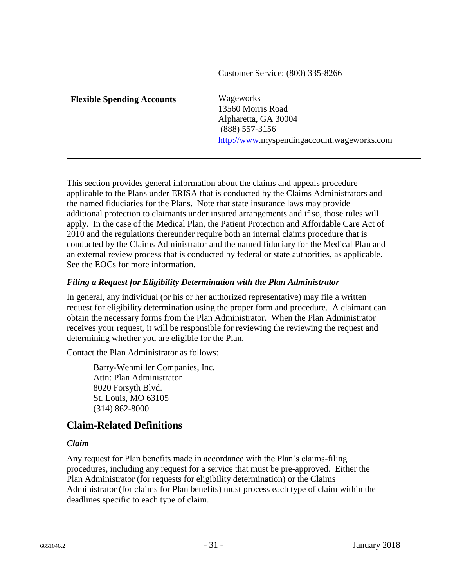|                                   | Customer Service: (800) 335-8266                                                                                         |
|-----------------------------------|--------------------------------------------------------------------------------------------------------------------------|
| <b>Flexible Spending Accounts</b> | Wageworks<br>13560 Morris Road<br>Alpharetta, GA 30004<br>$(888)$ 557-3156<br>http://www.myspendingaccount.wageworks.com |

This section provides general information about the claims and appeals procedure applicable to the Plans under ERISA that is conducted by the Claims Administrators and the named fiduciaries for the Plans. Note that state insurance laws may provide additional protection to claimants under insured arrangements and if so, those rules will apply. In the case of the Medical Plan, the Patient Protection and Affordable Care Act of 2010 and the regulations thereunder require both an internal claims procedure that is conducted by the Claims Administrator and the named fiduciary for the Medical Plan and an external review process that is conducted by federal or state authorities, as applicable. See the EOCs for more information.

#### *Filing a Request for Eligibility Determination with the Plan Administrator*

In general, any individual (or his or her authorized representative) may file a written request for eligibility determination using the proper form and procedure. A claimant can obtain the necessary forms from the Plan Administrator. When the Plan Administrator receives your request, it will be responsible for reviewing the reviewing the request and determining whether you are eligible for the Plan.

Contact the Plan Administrator as follows:

Barry-Wehmiller Companies, Inc. Attn: Plan Administrator 8020 Forsyth Blvd. St. Louis, MO 63105 (314) 862-8000

### **Claim-Related Definitions**

#### *Claim*

Any request for Plan benefits made in accordance with the Plan's claims-filing procedures, including any request for a service that must be pre-approved. Either the Plan Administrator (for requests for eligibility determination) or the Claims Administrator (for claims for Plan benefits) must process each type of claim within the deadlines specific to each type of claim.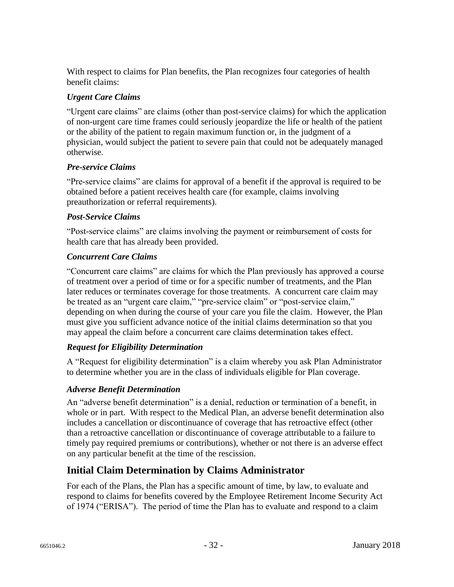With respect to claims for Plan benefits, the Plan recognizes four categories of health benefit claims:

#### *Urgent Care Claims*

"Urgent care claims" are claims (other than post-service claims) for which the application of non-urgent care time frames could seriously jeopardize the life or health of the patient or the ability of the patient to regain maximum function or, in the judgment of a physician, would subject the patient to severe pain that could not be adequately managed otherwise.

#### *Pre-service Claims*

"Pre-service claims" are claims for approval of a benefit if the approval is required to be obtained before a patient receives health care (for example, claims involving preauthorization or referral requirements).

#### *Post-Service Claims*

"Post-service claims" are claims involving the payment or reimbursement of costs for health care that has already been provided.

#### *Concurrent Care Claims*

"Concurrent care claims" are claims for which the Plan previously has approved a course of treatment over a period of time or for a specific number of treatments, and the Plan later reduces or terminates coverage for those treatments. A concurrent care claim may be treated as an "urgent care claim," "pre-service claim" or "post-service claim," depending on when during the course of your care you file the claim. However, the Plan must give you sufficient advance notice of the initial claims determination so that you may appeal the claim before a concurrent care claims determination takes effect.

### *Request for Eligibility Determination*

A "Request for eligibility determination" is a claim whereby you ask Plan Administrator to determine whether you are in the class of individuals eligible for Plan coverage.

### *Adverse Benefit Determination*

An "adverse benefit determination" is a denial, reduction or termination of a benefit, in whole or in part. With respect to the Medical Plan, an adverse benefit determination also includes a cancellation or discontinuance of coverage that has retroactive effect (other than a retroactive cancellation or discontinuance of coverage attributable to a failure to timely pay required premiums or contributions), whether or not there is an adverse effect on any particular benefit at the time of the rescission.

## **Initial Claim Determination by Claims Administrator**

For each of the Plans, the Plan has a specific amount of time, by law, to evaluate and respond to claims for benefits covered by the Employee Retirement Income Security Act of 1974 ("ERISA"). The period of time the Plan has to evaluate and respond to a claim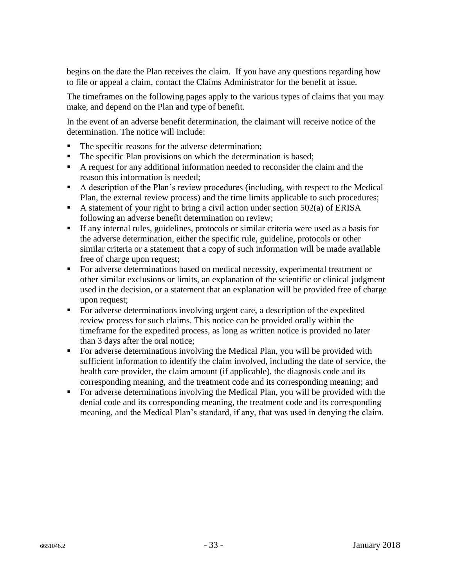begins on the date the Plan receives the claim. If you have any questions regarding how to file or appeal a claim, contact the Claims Administrator for the benefit at issue.

The timeframes on the following pages apply to the various types of claims that you may make, and depend on the Plan and type of benefit.

In the event of an adverse benefit determination, the claimant will receive notice of the determination. The notice will include:

- The specific reasons for the adverse determination;
- The specific Plan provisions on which the determination is based;
- A request for any additional information needed to reconsider the claim and the reason this information is needed;
- A description of the Plan's review procedures (including, with respect to the Medical Plan, the external review process) and the time limits applicable to such procedures;
- A statement of your right to bring a civil action under section  $502(a)$  of ERISA following an adverse benefit determination on review;
- If any internal rules, guidelines, protocols or similar criteria were used as a basis for the adverse determination, either the specific rule, guideline, protocols or other similar criteria or a statement that a copy of such information will be made available free of charge upon request;
- For adverse determinations based on medical necessity, experimental treatment or other similar exclusions or limits, an explanation of the scientific or clinical judgment used in the decision, or a statement that an explanation will be provided free of charge upon request;
- For adverse determinations involving urgent care, a description of the expedited review process for such claims. This notice can be provided orally within the timeframe for the expedited process, as long as written notice is provided no later than 3 days after the oral notice;
- For adverse determinations involving the Medical Plan, you will be provided with sufficient information to identify the claim involved, including the date of service, the health care provider, the claim amount (if applicable), the diagnosis code and its corresponding meaning, and the treatment code and its corresponding meaning; and
- For adverse determinations involving the Medical Plan, you will be provided with the denial code and its corresponding meaning, the treatment code and its corresponding meaning, and the Medical Plan's standard, if any, that was used in denying the claim.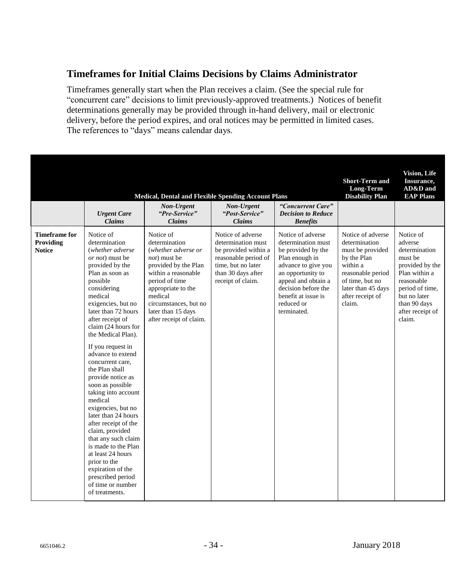### **Timeframes for Initial Claims Decisions by Claims Administrator**

Timeframes generally start when the Plan receives a claim. (See the special rule for "concurrent care" decisions to limit previously-approved treatments.) Notices of benefit determinations generally may be provided through in-hand delivery, mail or electronic delivery, before the period expires, and oral notices may be permitted in limited cases. The references to "days" means calendar days.

|                                                    |                                                                                                                                                                                                                                                                                                                                                                                                                                                                                                                                                                                                                                                                                             | <b>Medical, Dental and Flexible Spending Account Plans</b>                                                                                                                                                                                            |                                                                                                                                                          |                                                                                                                                                                                                                               | <b>Short-Term and</b><br>Long-Term<br><b>Disability Plan</b>                                                                                                                  | <b>Vision, Life</b><br>Insurance,<br>AD&D and<br><b>EAP Plans</b>                                                                                                                   |
|----------------------------------------------------|---------------------------------------------------------------------------------------------------------------------------------------------------------------------------------------------------------------------------------------------------------------------------------------------------------------------------------------------------------------------------------------------------------------------------------------------------------------------------------------------------------------------------------------------------------------------------------------------------------------------------------------------------------------------------------------------|-------------------------------------------------------------------------------------------------------------------------------------------------------------------------------------------------------------------------------------------------------|----------------------------------------------------------------------------------------------------------------------------------------------------------|-------------------------------------------------------------------------------------------------------------------------------------------------------------------------------------------------------------------------------|-------------------------------------------------------------------------------------------------------------------------------------------------------------------------------|-------------------------------------------------------------------------------------------------------------------------------------------------------------------------------------|
|                                                    | <b>Urgent Care</b><br><b>Claims</b>                                                                                                                                                                                                                                                                                                                                                                                                                                                                                                                                                                                                                                                         | Non-Urgent<br>"Pre-Service"<br><b>Claims</b>                                                                                                                                                                                                          | Non-Urgent<br>"Post-Service"<br><b>Claims</b>                                                                                                            | "Concurrent Care"<br><b>Decision to Reduce</b><br><b>Benefits</b>                                                                                                                                                             |                                                                                                                                                                               |                                                                                                                                                                                     |
| <b>Timeframe for</b><br>Providing<br><b>Notice</b> | Notice of<br>determination<br>(whether adverse)<br><i>or not</i> ) must be<br>provided by the<br>Plan as soon as<br>possible<br>considering<br>medical<br>exigencies, but no<br>later than 72 hours<br>after receipt of<br>claim (24 hours for<br>the Medical Plan).<br>If you request in<br>advance to extend<br>concurrent care,<br>the Plan shall<br>provide notice as<br>soon as possible<br>taking into account<br>medical<br>exigencies, but no<br>later than 24 hours<br>after receipt of the<br>claim, provided<br>that any such claim<br>is made to the Plan<br>at least 24 hours<br>prior to the<br>expiration of the<br>prescribed period<br>of time or number<br>of treatments. | Notice of<br>determination<br>(whether adverse or<br><i>not</i> ) must be<br>provided by the Plan<br>within a reasonable<br>period of time<br>appropriate to the<br>medical<br>circumstances, but no<br>later than 15 days<br>after receipt of claim. | Notice of adverse<br>determination must<br>be provided within a<br>reasonable period of<br>time, but no later<br>than 30 days after<br>receipt of claim. | Notice of adverse<br>determination must<br>be provided by the<br>Plan enough in<br>advance to give you<br>an opportunity to<br>appeal and obtain a<br>decision before the<br>benefit at issue is<br>reduced or<br>terminated. | Notice of adverse<br>determination<br>must be provided<br>by the Plan<br>within a<br>reasonable period<br>of time, but no<br>later than 45 days<br>after receipt of<br>claim. | Notice of<br>adverse<br>determination<br>must be<br>provided by the<br>Plan within a<br>reasonable<br>period of time.<br>but no later<br>than 90 days<br>after receipt of<br>claim. |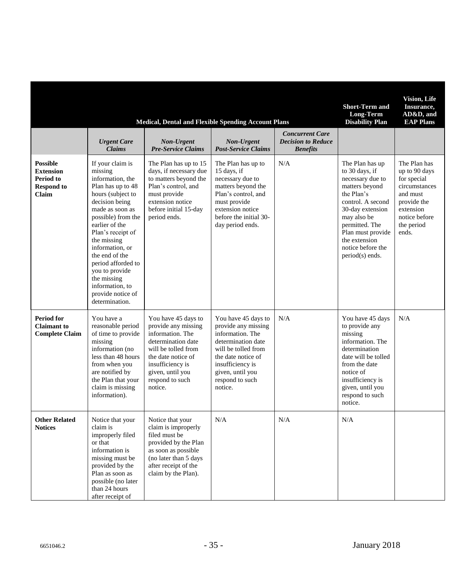|                                                                                |                                                                                                                                                                                                                                                                                                                                                                  | <b>Medical, Dental and Flexible Spending Account Plans</b>                                                                                                                                              |                                                                                                                                                                                                         |                                                                        | <b>Short-Term and</b><br>Long-Term<br><b>Disability Plan</b>                                                                                                                                                                                  | <b>Vision, Life</b><br>Insurance,<br>AD&D, and<br><b>EAP Plans</b>                                                                            |
|--------------------------------------------------------------------------------|------------------------------------------------------------------------------------------------------------------------------------------------------------------------------------------------------------------------------------------------------------------------------------------------------------------------------------------------------------------|---------------------------------------------------------------------------------------------------------------------------------------------------------------------------------------------------------|---------------------------------------------------------------------------------------------------------------------------------------------------------------------------------------------------------|------------------------------------------------------------------------|-----------------------------------------------------------------------------------------------------------------------------------------------------------------------------------------------------------------------------------------------|-----------------------------------------------------------------------------------------------------------------------------------------------|
|                                                                                | <b>Urgent Care</b><br><b>Claims</b>                                                                                                                                                                                                                                                                                                                              | <b>Non-Urgent</b><br><b>Pre-Service Claims</b>                                                                                                                                                          | Non-Urgent<br><b>Post-Service Claims</b>                                                                                                                                                                | <b>Concurrent Care</b><br><b>Decision to Reduce</b><br><b>Benefits</b> |                                                                                                                                                                                                                                               |                                                                                                                                               |
| <b>Possible</b><br><b>Extension</b><br>Period to<br><b>Respond to</b><br>Claim | If your claim is<br>missing<br>information, the<br>Plan has up to 48<br>hours (subject to<br>decision being<br>made as soon as<br>possible) from the<br>earlier of the<br>Plan's receipt of<br>the missing<br>information, or<br>the end of the<br>period afforded to<br>you to provide<br>the missing<br>information, to<br>provide notice of<br>determination. | The Plan has up to 15<br>days, if necessary due<br>to matters beyond the<br>Plan's control, and<br>must provide<br>extension notice<br>before initial 15-day<br>period ends.                            | The Plan has up to<br>15 days, if<br>necessary due to<br>matters beyond the<br>Plan's control, and<br>must provide<br>extension notice<br>before the initial 30-<br>day period ends.                    | N/A                                                                    | The Plan has up<br>to 30 days, if<br>necessary due to<br>matters beyond<br>the Plan's<br>control. A second<br>30-day extension<br>may also be<br>permitted. The<br>Plan must provide<br>the extension<br>notice before the<br>period(s) ends. | The Plan has<br>up to 90 days<br>for special<br>circumstances<br>and must<br>provide the<br>extension<br>notice before<br>the period<br>ends. |
| <b>Period for</b><br><b>Claimant</b> to<br><b>Complete Claim</b>               | You have a<br>reasonable period<br>of time to provide<br>missing<br>information (no<br>less than 48 hours<br>from when you<br>are notified by<br>the Plan that your<br>claim is missing<br>information).                                                                                                                                                         | You have 45 days to<br>provide any missing<br>information. The<br>determination date<br>will be tolled from<br>the date notice of<br>insufficiency is<br>given, until you<br>respond to such<br>notice. | You have 45 days to<br>provide any missing<br>information. The<br>determination date<br>will be tolled from<br>the date notice of<br>insufficiency is<br>given, until you<br>respond to such<br>notice. | N/A                                                                    | You have 45 days<br>to provide any<br>missing<br>information. The<br>determination<br>date will be tolled<br>from the date<br>notice of<br>insufficiency is<br>given, until you<br>respond to such<br>notice.                                 | N/A                                                                                                                                           |
| <b>Other Related</b><br><b>Notices</b>                                         | Notice that your<br>claim is<br>improperly filed<br>or that<br>information is<br>missing must be<br>provided by the<br>Plan as soon as<br>possible (no later<br>than 24 hours<br>after receipt of                                                                                                                                                                | Notice that your<br>claim is improperly<br>filed must be<br>provided by the Plan<br>as soon as possible<br>(no later than 5 days<br>after receipt of the<br>claim by the Plan).                         | $\rm N/A$                                                                                                                                                                                               | N/A                                                                    | N/A                                                                                                                                                                                                                                           |                                                                                                                                               |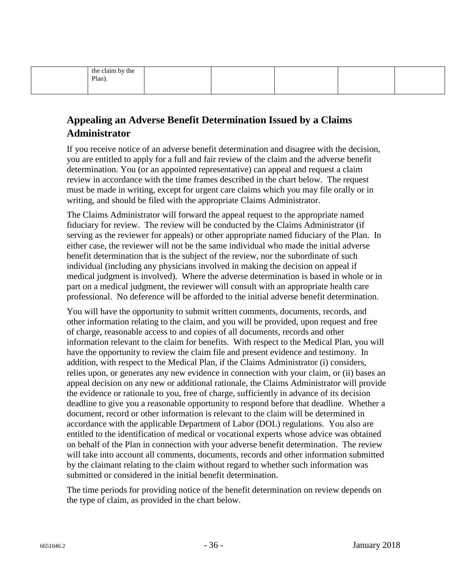| the claim by the |  |  |  |
|------------------|--|--|--|
| Plan).           |  |  |  |
|                  |  |  |  |
|                  |  |  |  |

## **Appealing an Adverse Benefit Determination Issued by a Claims Administrator**

If you receive notice of an adverse benefit determination and disagree with the decision, you are entitled to apply for a full and fair review of the claim and the adverse benefit determination. You (or an appointed representative) can appeal and request a claim review in accordance with the time frames described in the chart below. The request must be made in writing, except for urgent care claims which you may file orally or in writing, and should be filed with the appropriate Claims Administrator.

The Claims Administrator will forward the appeal request to the appropriate named fiduciary for review. The review will be conducted by the Claims Administrator (if serving as the reviewer for appeals) or other appropriate named fiduciary of the Plan. In either case, the reviewer will not be the same individual who made the initial adverse benefit determination that is the subject of the review, nor the subordinate of such individual (including any physicians involved in making the decision on appeal if medical judgment is involved). Where the adverse determination is based in whole or in part on a medical judgment, the reviewer will consult with an appropriate health care professional. No deference will be afforded to the initial adverse benefit determination.

You will have the opportunity to submit written comments, documents, records, and other information relating to the claim, and you will be provided, upon request and free of charge, reasonable access to and copies of all documents, records and other information relevant to the claim for benefits. With respect to the Medical Plan, you will have the opportunity to review the claim file and present evidence and testimony. In addition, with respect to the Medical Plan, if the Claims Administrator (i) considers, relies upon, or generates any new evidence in connection with your claim, or (ii) bases an appeal decision on any new or additional rationale, the Claims Administrator will provide the evidence or rationale to you, free of charge, sufficiently in advance of its decision deadline to give you a reasonable opportunity to respond before that deadline. Whether a document, record or other information is relevant to the claim will be determined in accordance with the applicable Department of Labor (DOL) regulations. You also are entitled to the identification of medical or vocational experts whose advice was obtained on behalf of the Plan in connection with your adverse benefit determination. The review will take into account all comments, documents, records and other information submitted by the claimant relating to the claim without regard to whether such information was submitted or considered in the initial benefit determination.

The time periods for providing notice of the benefit determination on review depends on the type of claim, as provided in the chart below.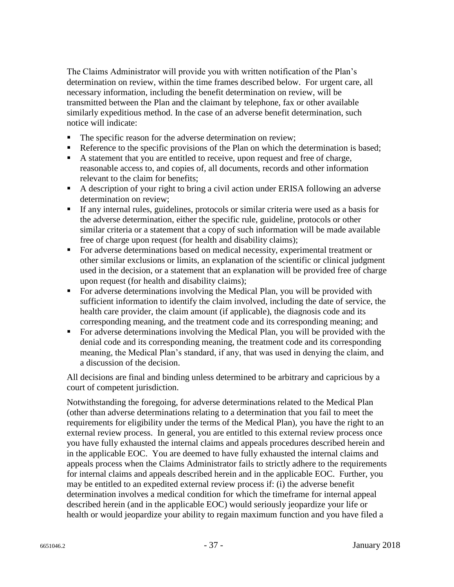The Claims Administrator will provide you with written notification of the Plan's determination on review, within the time frames described below. For urgent care, all necessary information, including the benefit determination on review, will be transmitted between the Plan and the claimant by telephone, fax or other available similarly expeditious method. In the case of an adverse benefit determination, such notice will indicate:

- The specific reason for the adverse determination on review;
- Reference to the specific provisions of the Plan on which the determination is based;
- A statement that you are entitled to receive, upon request and free of charge, reasonable access to, and copies of, all documents, records and other information relevant to the claim for benefits;
- A description of your right to bring a civil action under ERISA following an adverse determination on review;
- If any internal rules, guidelines, protocols or similar criteria were used as a basis for the adverse determination, either the specific rule, guideline, protocols or other similar criteria or a statement that a copy of such information will be made available free of charge upon request (for health and disability claims);
- For adverse determinations based on medical necessity, experimental treatment or other similar exclusions or limits, an explanation of the scientific or clinical judgment used in the decision, or a statement that an explanation will be provided free of charge upon request (for health and disability claims);
- For adverse determinations involving the Medical Plan, you will be provided with sufficient information to identify the claim involved, including the date of service, the health care provider, the claim amount (if applicable), the diagnosis code and its corresponding meaning, and the treatment code and its corresponding meaning; and
- For adverse determinations involving the Medical Plan, you will be provided with the denial code and its corresponding meaning, the treatment code and its corresponding meaning, the Medical Plan's standard, if any, that was used in denying the claim, and a discussion of the decision.

All decisions are final and binding unless determined to be arbitrary and capricious by a court of competent jurisdiction.

Notwithstanding the foregoing, for adverse determinations related to the Medical Plan (other than adverse determinations relating to a determination that you fail to meet the requirements for eligibility under the terms of the Medical Plan), you have the right to an external review process. In general, you are entitled to this external review process once you have fully exhausted the internal claims and appeals procedures described herein and in the applicable EOC. You are deemed to have fully exhausted the internal claims and appeals process when the Claims Administrator fails to strictly adhere to the requirements for internal claims and appeals described herein and in the applicable EOC. Further, you may be entitled to an expedited external review process if: (i) the adverse benefit determination involves a medical condition for which the timeframe for internal appeal described herein (and in the applicable EOC) would seriously jeopardize your life or health or would jeopardize your ability to regain maximum function and you have filed a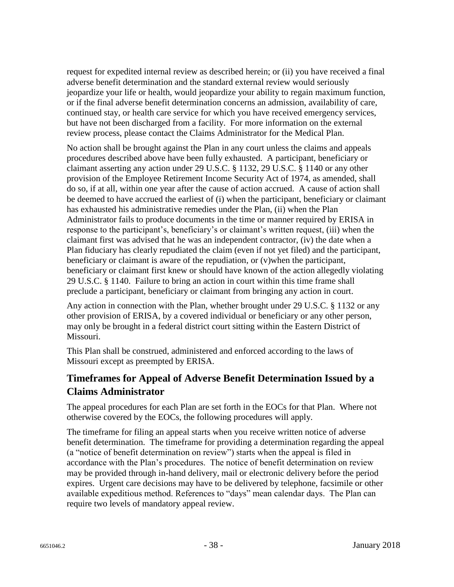request for expedited internal review as described herein; or (ii) you have received a final adverse benefit determination and the standard external review would seriously jeopardize your life or health, would jeopardize your ability to regain maximum function, or if the final adverse benefit determination concerns an admission, availability of care, continued stay, or health care service for which you have received emergency services, but have not been discharged from a facility. For more information on the external review process, please contact the Claims Administrator for the Medical Plan.

No action shall be brought against the Plan in any court unless the claims and appeals procedures described above have been fully exhausted. A participant, beneficiary or claimant asserting any action under 29 U.S.C. § 1132, 29 U.S.C. § 1140 or any other provision of the Employee Retirement Income Security Act of 1974, as amended, shall do so, if at all, within one year after the cause of action accrued. A cause of action shall be deemed to have accrued the earliest of (i) when the participant, beneficiary or claimant has exhausted his administrative remedies under the Plan, (ii) when the Plan Administrator fails to produce documents in the time or manner required by ERISA in response to the participant's, beneficiary's or claimant's written request, (iii) when the claimant first was advised that he was an independent contractor, (iv) the date when a Plan fiduciary has clearly repudiated the claim (even if not yet filed) and the participant, beneficiary or claimant is aware of the repudiation, or (v)when the participant, beneficiary or claimant first knew or should have known of the action allegedly violating 29 U.S.C. § 1140. Failure to bring an action in court within this time frame shall preclude a participant, beneficiary or claimant from bringing any action in court.

Any action in connection with the Plan, whether brought under 29 U.S.C. § 1132 or any other provision of ERISA, by a covered individual or beneficiary or any other person, may only be brought in a federal district court sitting within the Eastern District of Missouri.

This Plan shall be construed, administered and enforced according to the laws of Missouri except as preempted by ERISA.

## **Timeframes for Appeal of Adverse Benefit Determination Issued by a Claims Administrator**

The appeal procedures for each Plan are set forth in the EOCs for that Plan. Where not otherwise covered by the EOCs, the following procedures will apply.

The timeframe for filing an appeal starts when you receive written notice of adverse benefit determination. The timeframe for providing a determination regarding the appeal (a "notice of benefit determination on review") starts when the appeal is filed in accordance with the Plan's procedures. The notice of benefit determination on review may be provided through in-hand delivery, mail or electronic delivery before the period expires. Urgent care decisions may have to be delivered by telephone, facsimile or other available expeditious method. References to "days" mean calendar days. The Plan can require two levels of mandatory appeal review.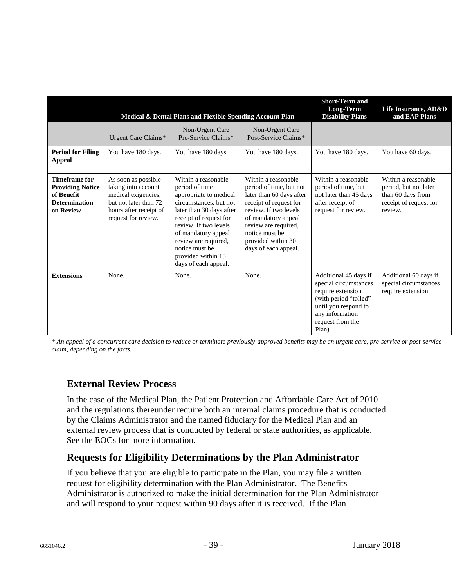|                                                                                                    |                                                                                                                                             | Medical & Dental Plans and Flexible Spending Account Plan                                                                                                                                                                                                                               |                                                                                                                                                                                                                                              | <b>Short-Term and</b><br><b>Long-Term</b><br><b>Disability Plans</b>                                                                                                  | Life Insurance, AD&D<br>and EAP Plans                                                                  |
|----------------------------------------------------------------------------------------------------|---------------------------------------------------------------------------------------------------------------------------------------------|-----------------------------------------------------------------------------------------------------------------------------------------------------------------------------------------------------------------------------------------------------------------------------------------|----------------------------------------------------------------------------------------------------------------------------------------------------------------------------------------------------------------------------------------------|-----------------------------------------------------------------------------------------------------------------------------------------------------------------------|--------------------------------------------------------------------------------------------------------|
|                                                                                                    | Urgent Care Claims*                                                                                                                         | Non-Urgent Care<br>Pre-Service Claims*                                                                                                                                                                                                                                                  | Non-Urgent Care<br>Post-Service Claims*                                                                                                                                                                                                      |                                                                                                                                                                       |                                                                                                        |
| <b>Period for Filing</b><br>Appeal                                                                 | You have 180 days.                                                                                                                          | You have 180 days.                                                                                                                                                                                                                                                                      | You have 180 days.                                                                                                                                                                                                                           | You have 180 days.                                                                                                                                                    | You have 60 days.                                                                                      |
| <b>Timeframe for</b><br><b>Providing Notice</b><br>of Benefit<br><b>Determination</b><br>on Review | As soon as possible<br>taking into account<br>medical exigencies,<br>but not later than 72<br>hours after receipt of<br>request for review. | Within a reasonable<br>period of time<br>appropriate to medical<br>circumstances, but not<br>later than 30 days after<br>receipt of request for<br>review. If two levels<br>of mandatory appeal<br>review are required,<br>notice must be<br>provided within 15<br>days of each appeal. | Within a reasonable<br>period of time, but not<br>later than 60 days after<br>receipt of request for<br>review. If two levels<br>of mandatory appeal<br>review are required,<br>notice must be<br>provided within 30<br>days of each appeal. | Within a reasonable<br>period of time, but<br>not later than 45 days<br>after receipt of<br>request for review.                                                       | Within a reasonable<br>period, but not later<br>than 60 days from<br>receipt of request for<br>review. |
| <b>Extensions</b>                                                                                  | None.                                                                                                                                       | None.                                                                                                                                                                                                                                                                                   | None.                                                                                                                                                                                                                                        | Additional 45 days if<br>special circumstances<br>require extension<br>(with period "tolled"<br>until you respond to<br>any information<br>request from the<br>Plan). | Additional 60 days if<br>special circumstances<br>require extension.                                   |

*\* An appeal of a concurrent care decision to reduce or terminate previously-approved benefits may be an urgent care, pre-service or post-service claim, depending on the facts.* 

### **External Review Process**

In the case of the Medical Plan, the Patient Protection and Affordable Care Act of 2010 and the regulations thereunder require both an internal claims procedure that is conducted by the Claims Administrator and the named fiduciary for the Medical Plan and an external review process that is conducted by federal or state authorities, as applicable. See the EOCs for more information.

### **Requests for Eligibility Determinations by the Plan Administrator**

If you believe that you are eligible to participate in the Plan, you may file a written request for eligibility determination with the Plan Administrator. The Benefits Administrator is authorized to make the initial determination for the Plan Administrator and will respond to your request within 90 days after it is received. If the Plan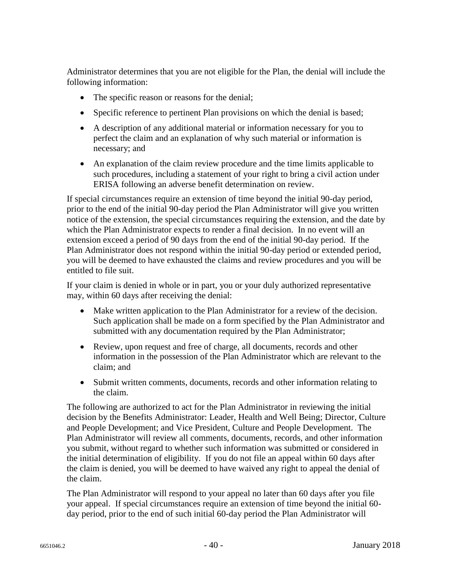Administrator determines that you are not eligible for the Plan, the denial will include the following information:

- The specific reason or reasons for the denial;
- Specific reference to pertinent Plan provisions on which the denial is based;
- A description of any additional material or information necessary for you to perfect the claim and an explanation of why such material or information is necessary; and
- An explanation of the claim review procedure and the time limits applicable to such procedures, including a statement of your right to bring a civil action under ERISA following an adverse benefit determination on review.

If special circumstances require an extension of time beyond the initial 90-day period, prior to the end of the initial 90-day period the Plan Administrator will give you written notice of the extension, the special circumstances requiring the extension, and the date by which the Plan Administrator expects to render a final decision. In no event will an extension exceed a period of 90 days from the end of the initial 90-day period. If the Plan Administrator does not respond within the initial 90-day period or extended period, you will be deemed to have exhausted the claims and review procedures and you will be entitled to file suit.

If your claim is denied in whole or in part, you or your duly authorized representative may, within 60 days after receiving the denial:

- Make written application to the Plan Administrator for a review of the decision. Such application shall be made on a form specified by the Plan Administrator and submitted with any documentation required by the Plan Administrator;
- Review, upon request and free of charge, all documents, records and other information in the possession of the Plan Administrator which are relevant to the claim; and
- Submit written comments, documents, records and other information relating to the claim.

The following are authorized to act for the Plan Administrator in reviewing the initial decision by the Benefits Administrator: Leader, Health and Well Being; Director, Culture and People Development; and Vice President, Culture and People Development. The Plan Administrator will review all comments, documents, records, and other information you submit, without regard to whether such information was submitted or considered in the initial determination of eligibility. If you do not file an appeal within 60 days after the claim is denied, you will be deemed to have waived any right to appeal the denial of the claim.

The Plan Administrator will respond to your appeal no later than 60 days after you file your appeal. If special circumstances require an extension of time beyond the initial 60 day period, prior to the end of such initial 60-day period the Plan Administrator will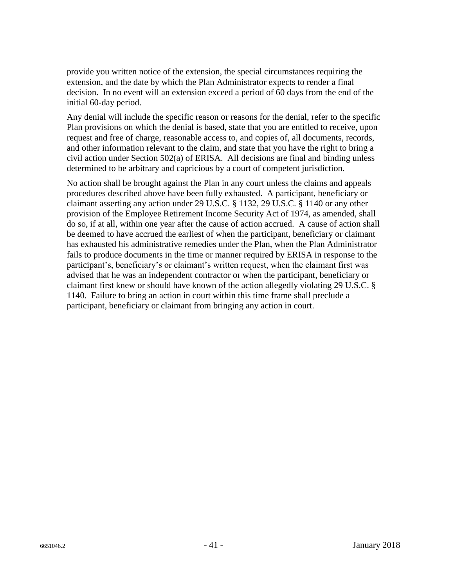provide you written notice of the extension, the special circumstances requiring the extension, and the date by which the Plan Administrator expects to render a final decision. In no event will an extension exceed a period of 60 days from the end of the initial 60-day period.

Any denial will include the specific reason or reasons for the denial, refer to the specific Plan provisions on which the denial is based, state that you are entitled to receive, upon request and free of charge, reasonable access to, and copies of, all documents, records, and other information relevant to the claim, and state that you have the right to bring a civil action under Section 502(a) of ERISA. All decisions are final and binding unless determined to be arbitrary and capricious by a court of competent jurisdiction.

No action shall be brought against the Plan in any court unless the claims and appeals procedures described above have been fully exhausted. A participant, beneficiary or claimant asserting any action under 29 U.S.C. § 1132, 29 U.S.C. § 1140 or any other provision of the Employee Retirement Income Security Act of 1974, as amended, shall do so, if at all, within one year after the cause of action accrued. A cause of action shall be deemed to have accrued the earliest of when the participant, beneficiary or claimant has exhausted his administrative remedies under the Plan, when the Plan Administrator fails to produce documents in the time or manner required by ERISA in response to the participant's, beneficiary's or claimant's written request, when the claimant first was advised that he was an independent contractor or when the participant, beneficiary or claimant first knew or should have known of the action allegedly violating 29 U.S.C. § 1140. Failure to bring an action in court within this time frame shall preclude a participant, beneficiary or claimant from bringing any action in court.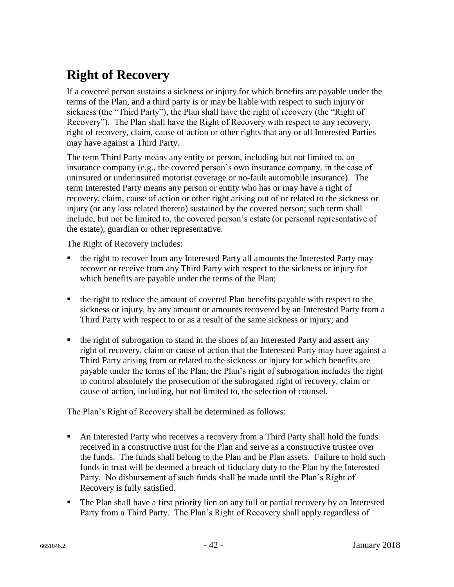# **Right of Recovery**

If a covered person sustains a sickness or injury for which benefits are payable under the terms of the Plan, and a third party is or may be liable with respect to such injury or sickness (the "Third Party"), the Plan shall have the right of recovery (the "Right of Recovery"). The Plan shall have the Right of Recovery with respect to any recovery, right of recovery, claim, cause of action or other rights that any or all Interested Parties may have against a Third Party.

The term Third Party means any entity or person, including but not limited to, an insurance company (e.g., the covered person's own insurance company, in the case of uninsured or underinsured motorist coverage or no-fault automobile insurance). The term Interested Party means any person or entity who has or may have a right of recovery, claim, cause of action or other right arising out of or related to the sickness or injury (or any loss related thereto) sustained by the covered person; such term shall include, but not be limited to, the covered person's estate (or personal representative of the estate), guardian or other representative.

The Right of Recovery includes:

- the right to recover from any Interested Party all amounts the Interested Party may recover or receive from any Third Party with respect to the sickness or injury for which benefits are payable under the terms of the Plan;
- the right to reduce the amount of covered Plan benefits payable with respect to the sickness or injury, by any amount or amounts recovered by an Interested Party from a Third Party with respect to or as a result of the same sickness or injury; and
- the right of subrogation to stand in the shoes of an Interested Party and assert any right of recovery, claim or cause of action that the Interested Party may have against a Third Party arising from or related to the sickness or injury for which benefits are payable under the terms of the Plan; the Plan's right of subrogation includes the right to control absolutely the prosecution of the subrogated right of recovery, claim or cause of action, including, but not limited to, the selection of counsel.

The Plan's Right of Recovery shall be determined as follows:

- An Interested Party who receives a recovery from a Third Party shall hold the funds received in a constructive trust for the Plan and serve as a constructive trustee over the funds. The funds shall belong to the Plan and be Plan assets. Failure to hold such funds in trust will be deemed a breach of fiduciary duty to the Plan by the Interested Party. No disbursement of such funds shall be made until the Plan's Right of Recovery is fully satisfied.
- The Plan shall have a first priority lien on any full or partial recovery by an Interested Party from a Third Party. The Plan's Right of Recovery shall apply regardless of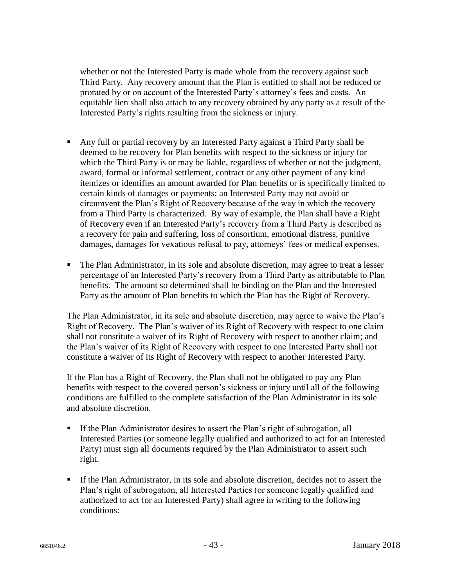whether or not the Interested Party is made whole from the recovery against such Third Party. Any recovery amount that the Plan is entitled to shall not be reduced or prorated by or on account of the Interested Party's attorney's fees and costs. An equitable lien shall also attach to any recovery obtained by any party as a result of the Interested Party's rights resulting from the sickness or injury.

- Any full or partial recovery by an Interested Party against a Third Party shall be deemed to be recovery for Plan benefits with respect to the sickness or injury for which the Third Party is or may be liable, regardless of whether or not the judgment, award, formal or informal settlement, contract or any other payment of any kind itemizes or identifies an amount awarded for Plan benefits or is specifically limited to certain kinds of damages or payments; an Interested Party may not avoid or circumvent the Plan's Right of Recovery because of the way in which the recovery from a Third Party is characterized. By way of example, the Plan shall have a Right of Recovery even if an Interested Party's recovery from a Third Party is described as a recovery for pain and suffering, loss of consortium, emotional distress, punitive damages, damages for vexatious refusal to pay, attorneys' fees or medical expenses.
- The Plan Administrator, in its sole and absolute discretion, may agree to treat a lesser percentage of an Interested Party's recovery from a Third Party as attributable to Plan benefits. The amount so determined shall be binding on the Plan and the Interested Party as the amount of Plan benefits to which the Plan has the Right of Recovery.

The Plan Administrator, in its sole and absolute discretion, may agree to waive the Plan's Right of Recovery. The Plan's waiver of its Right of Recovery with respect to one claim shall not constitute a waiver of its Right of Recovery with respect to another claim; and the Plan's waiver of its Right of Recovery with respect to one Interested Party shall not constitute a waiver of its Right of Recovery with respect to another Interested Party.

If the Plan has a Right of Recovery, the Plan shall not be obligated to pay any Plan benefits with respect to the covered person's sickness or injury until all of the following conditions are fulfilled to the complete satisfaction of the Plan Administrator in its sole and absolute discretion.

- If the Plan Administrator desires to assert the Plan's right of subrogation, all Interested Parties (or someone legally qualified and authorized to act for an Interested Party) must sign all documents required by the Plan Administrator to assert such right.
- If the Plan Administrator, in its sole and absolute discretion, decides not to assert the Plan's right of subrogation, all Interested Parties (or someone legally qualified and authorized to act for an Interested Party) shall agree in writing to the following conditions: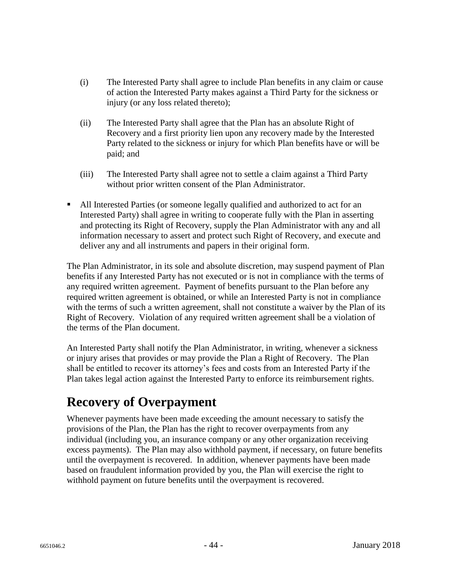- (i) The Interested Party shall agree to include Plan benefits in any claim or cause of action the Interested Party makes against a Third Party for the sickness or injury (or any loss related thereto);
- (ii) The Interested Party shall agree that the Plan has an absolute Right of Recovery and a first priority lien upon any recovery made by the Interested Party related to the sickness or injury for which Plan benefits have or will be paid; and
- (iii) The Interested Party shall agree not to settle a claim against a Third Party without prior written consent of the Plan Administrator.
- All Interested Parties (or someone legally qualified and authorized to act for an Interested Party) shall agree in writing to cooperate fully with the Plan in asserting and protecting its Right of Recovery, supply the Plan Administrator with any and all information necessary to assert and protect such Right of Recovery, and execute and deliver any and all instruments and papers in their original form.

The Plan Administrator, in its sole and absolute discretion, may suspend payment of Plan benefits if any Interested Party has not executed or is not in compliance with the terms of any required written agreement. Payment of benefits pursuant to the Plan before any required written agreement is obtained, or while an Interested Party is not in compliance with the terms of such a written agreement, shall not constitute a waiver by the Plan of its Right of Recovery. Violation of any required written agreement shall be a violation of the terms of the Plan document.

An Interested Party shall notify the Plan Administrator, in writing, whenever a sickness or injury arises that provides or may provide the Plan a Right of Recovery. The Plan shall be entitled to recover its attorney's fees and costs from an Interested Party if the Plan takes legal action against the Interested Party to enforce its reimbursement rights.

# **Recovery of Overpayment**

Whenever payments have been made exceeding the amount necessary to satisfy the provisions of the Plan, the Plan has the right to recover overpayments from any individual (including you, an insurance company or any other organization receiving excess payments). The Plan may also withhold payment, if necessary, on future benefits until the overpayment is recovered. In addition, whenever payments have been made based on fraudulent information provided by you, the Plan will exercise the right to withhold payment on future benefits until the overpayment is recovered.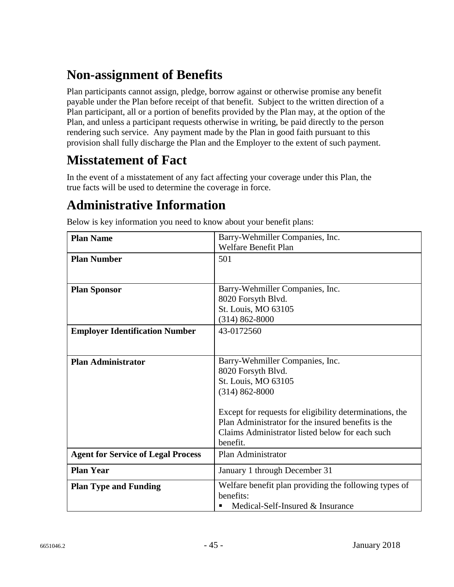# **Non-assignment of Benefits**

Plan participants cannot assign, pledge, borrow against or otherwise promise any benefit payable under the Plan before receipt of that benefit. Subject to the written direction of a Plan participant, all or a portion of benefits provided by the Plan may, at the option of the Plan, and unless a participant requests otherwise in writing, be paid directly to the person rendering such service. Any payment made by the Plan in good faith pursuant to this provision shall fully discharge the Plan and the Employer to the extent of such payment.

## **Misstatement of Fact**

In the event of a misstatement of any fact affecting your coverage under this Plan, the true facts will be used to determine the coverage in force.

## **Administrative Information**

| <b>Plan Name</b>                          | Barry-Wehmiller Companies, Inc.                         |
|-------------------------------------------|---------------------------------------------------------|
|                                           | <b>Welfare Benefit Plan</b>                             |
| <b>Plan Number</b>                        | 501                                                     |
|                                           |                                                         |
|                                           |                                                         |
| <b>Plan Sponsor</b>                       | Barry-Wehmiller Companies, Inc.<br>8020 Forsyth Blvd.   |
|                                           |                                                         |
|                                           | St. Louis, MO 63105                                     |
|                                           | $(314) 862 - 8000$                                      |
| <b>Employer Identification Number</b>     | 43-0172560                                              |
|                                           |                                                         |
|                                           |                                                         |
| <b>Plan Administrator</b>                 | Barry-Wehmiller Companies, Inc.                         |
|                                           | 8020 Forsyth Blvd.                                      |
|                                           | St. Louis, MO 63105                                     |
|                                           | $(314) 862 - 8000$                                      |
|                                           |                                                         |
|                                           | Except for requests for eligibility determinations, the |
|                                           | Plan Administrator for the insured benefits is the      |
|                                           | Claims Administrator listed below for each such         |
|                                           | benefit.                                                |
| <b>Agent for Service of Legal Process</b> | Plan Administrator                                      |
| <b>Plan Year</b>                          | January 1 through December 31                           |
| <b>Plan Type and Funding</b>              | Welfare benefit plan providing the following types of   |
|                                           | benefits:                                               |
|                                           | Medical-Self-Insured & Insurance<br>п                   |

Below is key information you need to know about your benefit plans: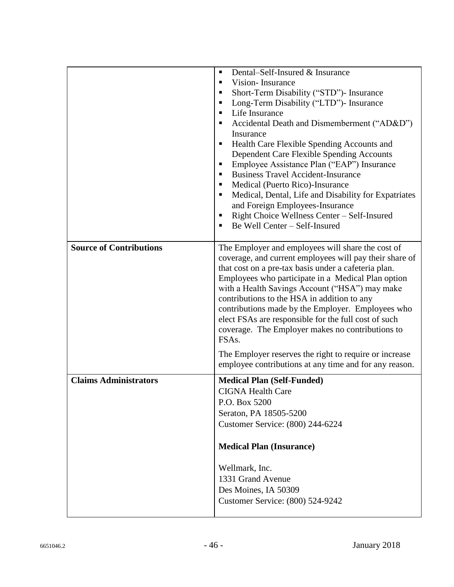|                                | Dental-Self-Insured & Insurance<br>$\blacksquare$<br>Vision-Insurance<br>٠<br>Short-Term Disability ("STD")- Insurance<br>п                                                                                                                                                                                                                                                                                                                                                                                                                                                  |  |
|--------------------------------|------------------------------------------------------------------------------------------------------------------------------------------------------------------------------------------------------------------------------------------------------------------------------------------------------------------------------------------------------------------------------------------------------------------------------------------------------------------------------------------------------------------------------------------------------------------------------|--|
|                                | Long-Term Disability ("LTD")- Insurance<br>п<br>Life Insurance<br>٠<br>Accidental Death and Dismemberment ("AD&D")<br>п<br>Insurance<br>Health Care Flexible Spending Accounts and<br>п<br>Dependent Care Flexible Spending Accounts<br>Employee Assistance Plan ("EAP") Insurance<br>٠<br><b>Business Travel Accident-Insurance</b><br>٠<br>Medical (Puerto Rico)-Insurance<br>٠<br>Medical, Dental, Life and Disability for Expatriates<br>п<br>and Foreign Employees-Insurance<br>Right Choice Wellness Center - Self-Insured<br>п<br>Be Well Center - Self-Insured<br>п  |  |
| <b>Source of Contributions</b> | The Employer and employees will share the cost of<br>coverage, and current employees will pay their share of<br>that cost on a pre-tax basis under a cafeteria plan.<br>Employees who participate in a Medical Plan option<br>with a Health Savings Account ("HSA") may make<br>contributions to the HSA in addition to any<br>contributions made by the Employer. Employees who<br>elect FSAs are responsible for the full cost of such<br>coverage. The Employer makes no contributions to<br>FSA <sub>s</sub> .<br>The Employer reserves the right to require or increase |  |
| <b>Claims Administrators</b>   | employee contributions at any time and for any reason.<br><b>Medical Plan (Self-Funded)</b><br><b>CIGNA Health Care</b><br>P.O. Box 5200<br>Seraton, PA 18505-5200<br>Customer Service: (800) 244-6224<br><b>Medical Plan (Insurance)</b><br>Wellmark, Inc.<br>1331 Grand Avenue<br>Des Moines, IA 50309<br>Customer Service: (800) 524-9242                                                                                                                                                                                                                                 |  |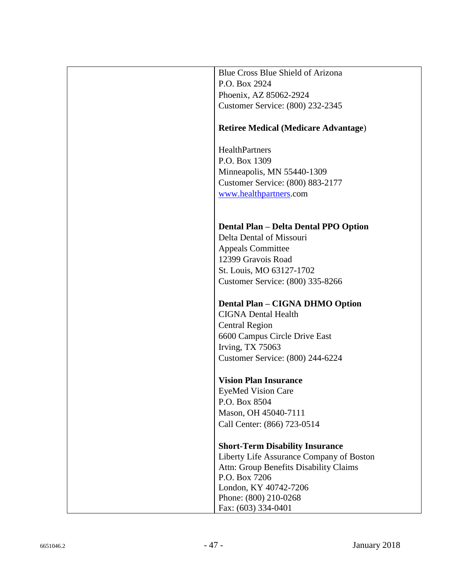| <b>Blue Cross Blue Shield of Arizona</b>      |
|-----------------------------------------------|
| P.O. Box 2924                                 |
| Phoenix, AZ 85062-2924                        |
| Customer Service: (800) 232-2345              |
|                                               |
| <b>Retiree Medical (Medicare Advantage)</b>   |
|                                               |
| HealthPartners                                |
| P.O. Box 1309                                 |
| Minneapolis, MN 55440-1309                    |
| Customer Service: (800) 883-2177              |
| www.healthpartners.com                        |
|                                               |
|                                               |
| <b>Dental Plan - Delta Dental PPO Option</b>  |
| Delta Dental of Missouri                      |
| <b>Appeals Committee</b>                      |
| 12399 Gravois Road                            |
| St. Louis, MO 63127-1702                      |
| Customer Service: (800) 335-8266              |
|                                               |
| Dental Plan - CIGNA DHMO Option               |
| <b>CIGNA Dental Health</b>                    |
| <b>Central Region</b>                         |
| 6600 Campus Circle Drive East                 |
| <b>Irving, TX 75063</b>                       |
| Customer Service: (800) 244-6224              |
|                                               |
| <b>Vision Plan Insurance</b>                  |
| <b>EyeMed Vision Care</b><br>P.O. Box 8504    |
|                                               |
| Mason, OH 45040-7111                          |
| Call Center: (866) 723-0514                   |
| <b>Short-Term Disability Insurance</b>        |
| Liberty Life Assurance Company of Boston      |
| <b>Attn: Group Benefits Disability Claims</b> |
| P.O. Box 7206                                 |
| London, KY 40742-7206                         |
| Phone: (800) 210-0268                         |
| Fax: (603) 334-0401                           |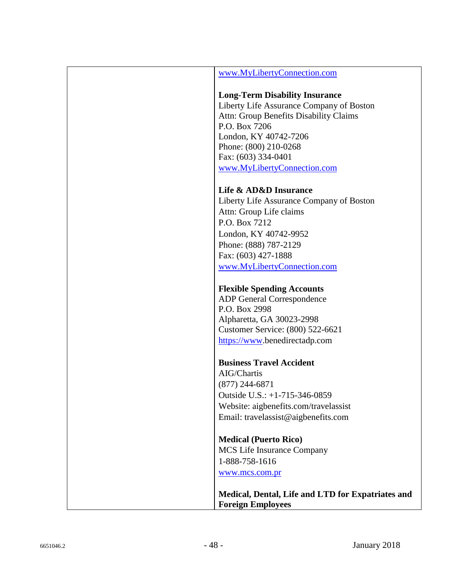| www.MyLibertyConnection.com                                                   |
|-------------------------------------------------------------------------------|
| <b>Long-Term Disability Insurance</b>                                         |
| Liberty Life Assurance Company of Boston                                      |
| Attn: Group Benefits Disability Claims                                        |
| P.O. Box 7206                                                                 |
| London, KY 40742-7206                                                         |
| Phone: (800) 210-0268                                                         |
| Fax: (603) 334-0401                                                           |
| www.MyLibertyConnection.com                                                   |
|                                                                               |
| Life & AD&D Insurance                                                         |
| Liberty Life Assurance Company of Boston                                      |
| Attn: Group Life claims                                                       |
| P.O. Box 7212                                                                 |
| London, KY 40742-9952                                                         |
| Phone: (888) 787-2129                                                         |
| Fax: (603) 427-1888                                                           |
| www.MyLibertyConnection.com                                                   |
|                                                                               |
| <b>Flexible Spending Accounts</b>                                             |
| <b>ADP</b> General Correspondence                                             |
| P.O. Box 2998                                                                 |
| Alpharetta, GA 30023-2998                                                     |
| Customer Service: (800) 522-6621                                              |
| https://www.benedirectadp.com                                                 |
|                                                                               |
| <b>Business Travel Accident</b>                                               |
| AIG/Chartis                                                                   |
| $(877)$ 244-6871                                                              |
| Outside U.S.: +1-715-346-0859                                                 |
| Website: aigbenefits.com/travelassist                                         |
| Email: travelassist@aigbenefits.com                                           |
| <b>Medical (Puerto Rico)</b>                                                  |
| MCS Life Insurance Company                                                    |
| 1-888-758-1616                                                                |
| www.mcs.com.pr                                                                |
|                                                                               |
| Medical, Dental, Life and LTD for Expatriates and<br><b>Foreign Employees</b> |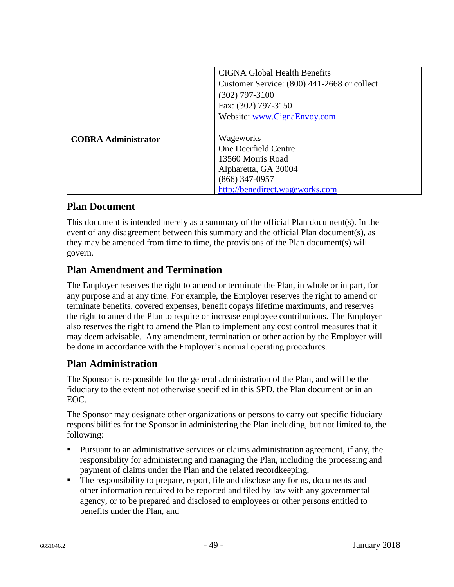|                            | <b>CIGNA Global Health Benefits</b><br>Customer Service: (800) 441-2668 or collect<br>$(302)$ 797-3100<br>Fax: (302) 797-3150<br>Website: www.CignaEnvoy.com |
|----------------------------|--------------------------------------------------------------------------------------------------------------------------------------------------------------|
| <b>COBRA Administrator</b> | Wageworks<br>One Deerfield Centre<br>13560 Morris Road<br>Alpharetta, GA 30004<br>$(866)$ 347-0957<br>http://benedirect.wageworks.com                        |

### **Plan Document**

This document is intended merely as a summary of the official Plan document(s). In the event of any disagreement between this summary and the official Plan document(s), as they may be amended from time to time, the provisions of the Plan document(s) will govern.

### **Plan Amendment and Termination**

The Employer reserves the right to amend or terminate the Plan, in whole or in part, for any purpose and at any time. For example, the Employer reserves the right to amend or terminate benefits, covered expenses, benefit copays lifetime maximums, and reserves the right to amend the Plan to require or increase employee contributions. The Employer also reserves the right to amend the Plan to implement any cost control measures that it may deem advisable. Any amendment, termination or other action by the Employer will be done in accordance with the Employer's normal operating procedures.

### **Plan Administration**

The Sponsor is responsible for the general administration of the Plan, and will be the fiduciary to the extent not otherwise specified in this SPD, the Plan document or in an EOC.

The Sponsor may designate other organizations or persons to carry out specific fiduciary responsibilities for the Sponsor in administering the Plan including, but not limited to, the following:

- Pursuant to an administrative services or claims administration agreement, if any, the responsibility for administering and managing the Plan, including the processing and payment of claims under the Plan and the related recordkeeping,
- The responsibility to prepare, report, file and disclose any forms, documents and other information required to be reported and filed by law with any governmental agency, or to be prepared and disclosed to employees or other persons entitled to benefits under the Plan, and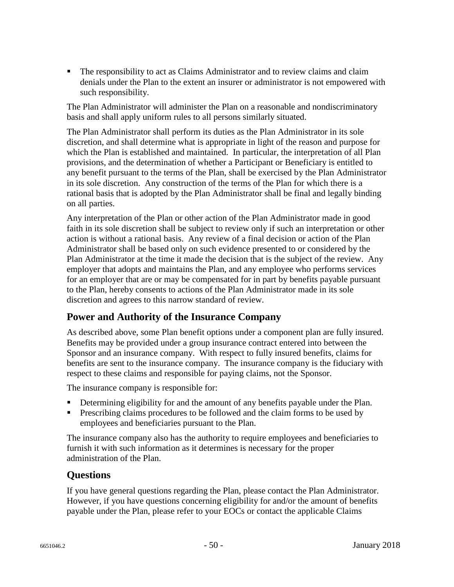The responsibility to act as Claims Administrator and to review claims and claim denials under the Plan to the extent an insurer or administrator is not empowered with such responsibility.

The Plan Administrator will administer the Plan on a reasonable and nondiscriminatory basis and shall apply uniform rules to all persons similarly situated.

The Plan Administrator shall perform its duties as the Plan Administrator in its sole discretion, and shall determine what is appropriate in light of the reason and purpose for which the Plan is established and maintained. In particular, the interpretation of all Plan provisions, and the determination of whether a Participant or Beneficiary is entitled to any benefit pursuant to the terms of the Plan, shall be exercised by the Plan Administrator in its sole discretion. Any construction of the terms of the Plan for which there is a rational basis that is adopted by the Plan Administrator shall be final and legally binding on all parties.

Any interpretation of the Plan or other action of the Plan Administrator made in good faith in its sole discretion shall be subject to review only if such an interpretation or other action is without a rational basis. Any review of a final decision or action of the Plan Administrator shall be based only on such evidence presented to or considered by the Plan Administrator at the time it made the decision that is the subject of the review. Any employer that adopts and maintains the Plan, and any employee who performs services for an employer that are or may be compensated for in part by benefits payable pursuant to the Plan, hereby consents to actions of the Plan Administrator made in its sole discretion and agrees to this narrow standard of review.

### **Power and Authority of the Insurance Company**

As described above, some Plan benefit options under a component plan are fully insured. Benefits may be provided under a group insurance contract entered into between the Sponsor and an insurance company. With respect to fully insured benefits, claims for benefits are sent to the insurance company. The insurance company is the fiduciary with respect to these claims and responsible for paying claims, not the Sponsor.

The insurance company is responsible for:

- **Determining eligibility for and the amount of any benefits payable under the Plan.**
- **Prescribing claims procedures to be followed and the claim forms to be used by** employees and beneficiaries pursuant to the Plan.

The insurance company also has the authority to require employees and beneficiaries to furnish it with such information as it determines is necessary for the proper administration of the Plan.

### **Questions**

If you have general questions regarding the Plan, please contact the Plan Administrator. However, if you have questions concerning eligibility for and/or the amount of benefits payable under the Plan, please refer to your EOCs or contact the applicable Claims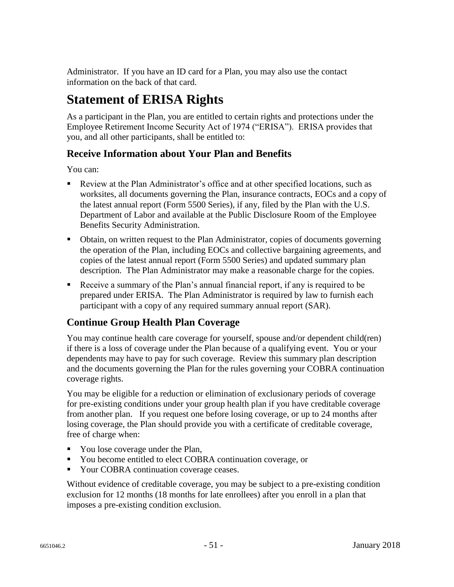Administrator. If you have an ID card for a Plan, you may also use the contact information on the back of that card.

# **Statement of ERISA Rights**

As a participant in the Plan, you are entitled to certain rights and protections under the Employee Retirement Income Security Act of 1974 ("ERISA"). ERISA provides that you, and all other participants, shall be entitled to:

## **Receive Information about Your Plan and Benefits**

You can:

- Review at the Plan Administrator's office and at other specified locations, such as worksites, all documents governing the Plan, insurance contracts, EOCs and a copy of the latest annual report (Form 5500 Series), if any, filed by the Plan with the U.S. Department of Labor and available at the Public Disclosure Room of the Employee Benefits Security Administration.
- Obtain, on written request to the Plan Administrator, copies of documents governing the operation of the Plan, including EOCs and collective bargaining agreements, and copies of the latest annual report (Form 5500 Series) and updated summary plan description. The Plan Administrator may make a reasonable charge for the copies.
- Receive a summary of the Plan's annual financial report, if any is required to be prepared under ERISA. The Plan Administrator is required by law to furnish each participant with a copy of any required summary annual report (SAR).

## **Continue Group Health Plan Coverage**

You may continue health care coverage for yourself, spouse and/or dependent child(ren) if there is a loss of coverage under the Plan because of a qualifying event. You or your dependents may have to pay for such coverage. Review this summary plan description and the documents governing the Plan for the rules governing your COBRA continuation coverage rights.

You may be eligible for a reduction or elimination of exclusionary periods of coverage for pre-existing conditions under your group health plan if you have creditable coverage from another plan. If you request one before losing coverage, or up to 24 months after losing coverage, the Plan should provide you with a certificate of creditable coverage, free of charge when:

- You lose coverage under the Plan,
- You become entitled to elect COBRA continuation coverage, or
- Your COBRA continuation coverage ceases.

Without evidence of creditable coverage, you may be subject to a pre-existing condition exclusion for 12 months (18 months for late enrollees) after you enroll in a plan that imposes a pre-existing condition exclusion.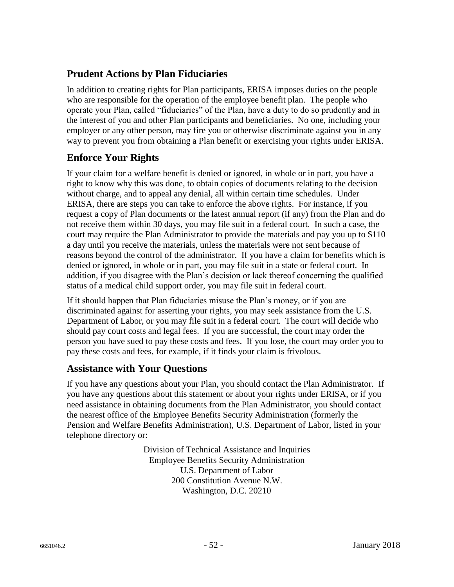### **Prudent Actions by Plan Fiduciaries**

In addition to creating rights for Plan participants, ERISA imposes duties on the people who are responsible for the operation of the employee benefit plan. The people who operate your Plan, called "fiduciaries" of the Plan, have a duty to do so prudently and in the interest of you and other Plan participants and beneficiaries. No one, including your employer or any other person, may fire you or otherwise discriminate against you in any way to prevent you from obtaining a Plan benefit or exercising your rights under ERISA.

## **Enforce Your Rights**

If your claim for a welfare benefit is denied or ignored, in whole or in part, you have a right to know why this was done, to obtain copies of documents relating to the decision without charge, and to appeal any denial, all within certain time schedules. Under ERISA, there are steps you can take to enforce the above rights. For instance, if you request a copy of Plan documents or the latest annual report (if any) from the Plan and do not receive them within 30 days, you may file suit in a federal court. In such a case, the court may require the Plan Administrator to provide the materials and pay you up to \$110 a day until you receive the materials, unless the materials were not sent because of reasons beyond the control of the administrator. If you have a claim for benefits which is denied or ignored, in whole or in part, you may file suit in a state or federal court. In addition, if you disagree with the Plan's decision or lack thereof concerning the qualified status of a medical child support order, you may file suit in federal court.

If it should happen that Plan fiduciaries misuse the Plan's money, or if you are discriminated against for asserting your rights, you may seek assistance from the U.S. Department of Labor, or you may file suit in a federal court. The court will decide who should pay court costs and legal fees. If you are successful, the court may order the person you have sued to pay these costs and fees. If you lose, the court may order you to pay these costs and fees, for example, if it finds your claim is frivolous.

### **Assistance with Your Questions**

If you have any questions about your Plan, you should contact the Plan Administrator. If you have any questions about this statement or about your rights under ERISA, or if you need assistance in obtaining documents from the Plan Administrator, you should contact the nearest office of the Employee Benefits Security Administration (formerly the Pension and Welfare Benefits Administration), U.S. Department of Labor, listed in your telephone directory or:

> Division of Technical Assistance and Inquiries Employee Benefits Security Administration U.S. Department of Labor 200 Constitution Avenue N.W. Washington, D.C. 20210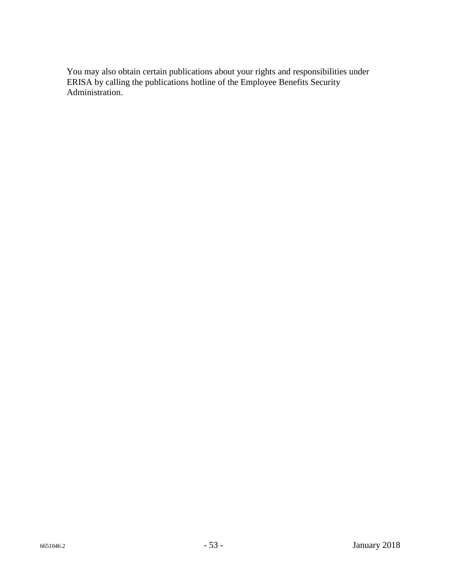You may also obtain certain publications about your rights and responsibilities under ERISA by calling the publications hotline of the Employee Benefits Security Administration.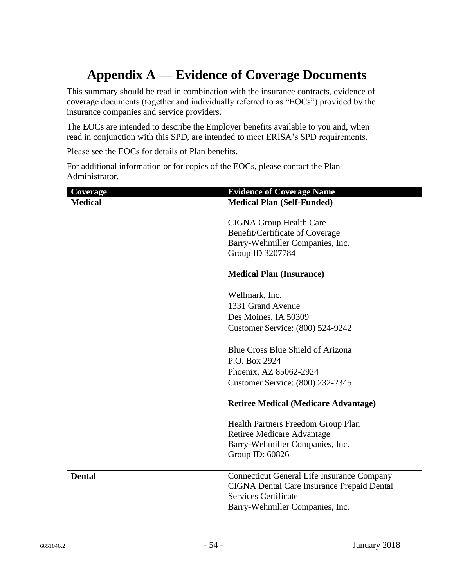# **Appendix A — Evidence of Coverage Documents**

This summary should be read in combination with the insurance contracts, evidence of coverage documents (together and individually referred to as "EOCs") provided by the insurance companies and service providers.

The EOCs are intended to describe the Employer benefits available to you and, when read in conjunction with this SPD, are intended to meet ERISA's SPD requirements.

Please see the EOCs for details of Plan benefits.

| Coverage       | <b>Evidence of Coverage Name</b>                  |
|----------------|---------------------------------------------------|
| <b>Medical</b> | <b>Medical Plan (Self-Funded)</b>                 |
|                | <b>CIGNA Group Health Care</b>                    |
|                | Benefit/Certificate of Coverage                   |
|                | Barry-Wehmiller Companies, Inc.                   |
|                | Group ID 3207784                                  |
|                |                                                   |
|                | <b>Medical Plan (Insurance)</b>                   |
|                | Wellmark, Inc.                                    |
|                | 1331 Grand Avenue                                 |
|                | Des Moines, IA 50309                              |
|                | Customer Service: (800) 524-9242                  |
|                |                                                   |
|                | Blue Cross Blue Shield of Arizona                 |
|                | P.O. Box 2924                                     |
|                | Phoenix, AZ 85062-2924                            |
|                | Customer Service: (800) 232-2345                  |
|                | <b>Retiree Medical (Medicare Advantage)</b>       |
|                | Health Partners Freedom Group Plan                |
|                | <b>Retiree Medicare Advantage</b>                 |
|                | Barry-Wehmiller Companies, Inc.                   |
|                | Group ID: 60826                                   |
|                |                                                   |
| <b>Dental</b>  | <b>Connecticut General Life Insurance Company</b> |
|                | <b>CIGNA Dental Care Insurance Prepaid Dental</b> |
|                | <b>Services Certificate</b>                       |
|                | Barry-Wehmiller Companies, Inc.                   |

For additional information or for copies of the EOCs, please contact the Plan Administrator.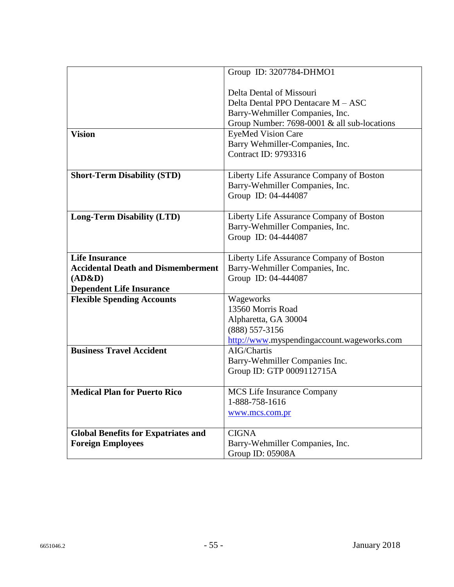|                                            | Group ID: 3207784-DHMO1                                                                                                                                                       |
|--------------------------------------------|-------------------------------------------------------------------------------------------------------------------------------------------------------------------------------|
| <b>Vision</b>                              | Delta Dental of Missouri<br>Delta Dental PPO Dentacare M - ASC<br>Barry-Wehmiller Companies, Inc.<br>Group Number: 7698-0001 & all sub-locations<br><b>EyeMed Vision Care</b> |
|                                            | Barry Wehmiller-Companies, Inc.<br><b>Contract ID: 9793316</b>                                                                                                                |
| <b>Short-Term Disability (STD)</b>         | Liberty Life Assurance Company of Boston<br>Barry-Wehmiller Companies, Inc.<br>Group ID: 04-444087                                                                            |
| <b>Long-Term Disability (LTD)</b>          | Liberty Life Assurance Company of Boston<br>Barry-Wehmiller Companies, Inc.<br>Group ID: 04-444087                                                                            |
| <b>Life Insurance</b>                      | Liberty Life Assurance Company of Boston                                                                                                                                      |
| <b>Accidental Death and Dismemberment</b>  | Barry-Wehmiller Companies, Inc.                                                                                                                                               |
| (AD&D)                                     | Group ID: 04-444087                                                                                                                                                           |
| <b>Dependent Life Insurance</b>            |                                                                                                                                                                               |
| <b>Flexible Spending Accounts</b>          | Wageworks                                                                                                                                                                     |
|                                            | 13560 Morris Road                                                                                                                                                             |
|                                            | Alpharetta, GA 30004                                                                                                                                                          |
|                                            | (888) 557-3156                                                                                                                                                                |
|                                            | http://www.myspendingaccount.wageworks.com                                                                                                                                    |
| <b>Business Travel Accident</b>            | AIG/Chartis                                                                                                                                                                   |
|                                            | Barry-Wehmiller Companies Inc.                                                                                                                                                |
|                                            | Group ID: GTP 0009112715A                                                                                                                                                     |
|                                            |                                                                                                                                                                               |
| <b>Medical Plan for Puerto Rico</b>        | <b>MCS</b> Life Insurance Company                                                                                                                                             |
|                                            | 1-888-758-1616                                                                                                                                                                |
|                                            | www.mcs.com.pr                                                                                                                                                                |
|                                            |                                                                                                                                                                               |
| <b>Global Benefits for Expatriates and</b> | <b>CIGNA</b>                                                                                                                                                                  |
| <b>Foreign Employees</b>                   | Barry-Wehmiller Companies, Inc.                                                                                                                                               |
|                                            | Group ID: 05908A                                                                                                                                                              |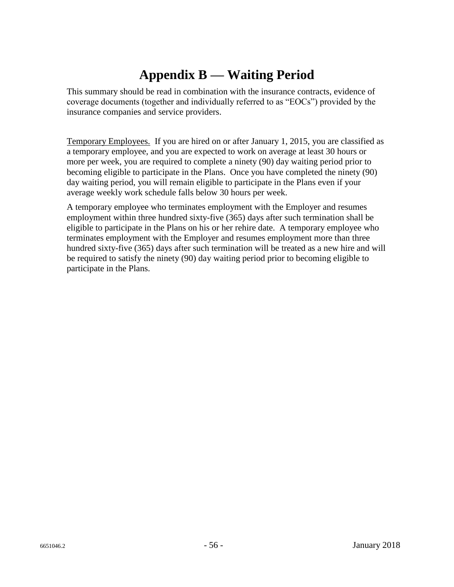# **Appendix B — Waiting Period**

This summary should be read in combination with the insurance contracts, evidence of coverage documents (together and individually referred to as "EOCs") provided by the insurance companies and service providers.

Temporary Employees. If you are hired on or after January 1, 2015, you are classified as a temporary employee, and you are expected to work on average at least 30 hours or more per week, you are required to complete a ninety (90) day waiting period prior to becoming eligible to participate in the Plans. Once you have completed the ninety (90) day waiting period, you will remain eligible to participate in the Plans even if your average weekly work schedule falls below 30 hours per week.

A temporary employee who terminates employment with the Employer and resumes employment within three hundred sixty-five (365) days after such termination shall be eligible to participate in the Plans on his or her rehire date. A temporary employee who terminates employment with the Employer and resumes employment more than three hundred sixty-five (365) days after such termination will be treated as a new hire and will be required to satisfy the ninety (90) day waiting period prior to becoming eligible to participate in the Plans.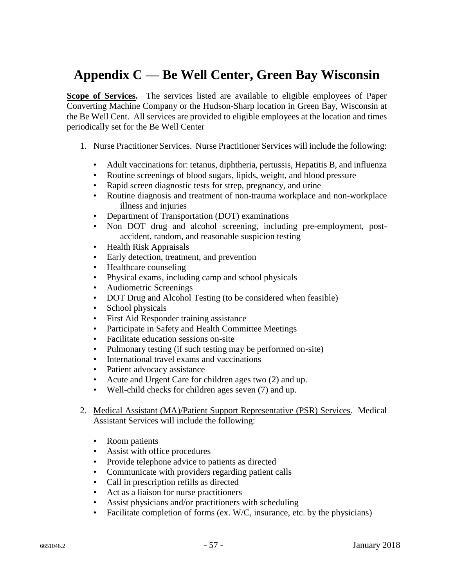## **Appendix C — Be Well Center, Green Bay Wisconsin**

**Scope of Services.** The services listed are available to eligible employees of Paper Converting Machine Company or the Hudson-Sharp location in Green Bay, Wisconsin at the Be Well Cent. All services are provided to eligible employees at the location and times periodically set for the Be Well Center

- 1. Nurse Practitioner Services. Nurse Practitioner Services will include the following:
	- Adult vaccinations for: tetanus, diphtheria, pertussis, Hepatitis B, and influenza
	- Routine screenings of blood sugars, lipids, weight, and blood pressure
	- Rapid screen diagnostic tests for strep, pregnancy, and urine
	- Routine diagnosis and treatment of non-trauma workplace and non-workplace illness and injuries
	- Department of Transportation (DOT) examinations
	- Non DOT drug and alcohol screening, including pre-employment, postaccident, random, and reasonable suspicion testing
	- Health Risk Appraisals
	- Early detection, treatment, and prevention
	- Healthcare counseling
	- Physical exams, including camp and school physicals
	- Audiometric Screenings
	- DOT Drug and Alcohol Testing (to be considered when feasible)
	- School physicals
	- First Aid Responder training assistance
	- Participate in Safety and Health Committee Meetings
	- Facilitate education sessions on-site
	- Pulmonary testing (if such testing may be performed on-site)
	- International travel exams and vaccinations
	- Patient advocacy assistance
	- Acute and Urgent Care for children ages two (2) and up.
	- Well-child checks for children ages seven (7) and up.
- 2. Medical Assistant (MA)/Patient Support Representative (PSR) Services. Medical Assistant Services will include the following:
	- Room patients
	- Assist with office procedures
	- Provide telephone advice to patients as directed
	- Communicate with providers regarding patient calls
	- Call in prescription refills as directed
	- Act as a liaison for nurse practitioners
	- Assist physicians and/or practitioners with scheduling
	- Facilitate completion of forms (ex. W/C, insurance, etc. by the physicians)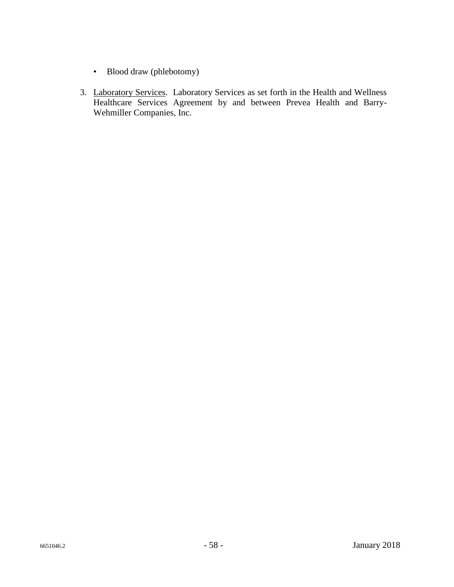- Blood draw (phlebotomy)
- 3. Laboratory Services. Laboratory Services as set forth in the Health and Wellness Healthcare Services Agreement by and between Prevea Health and Barry-Wehmiller Companies, Inc.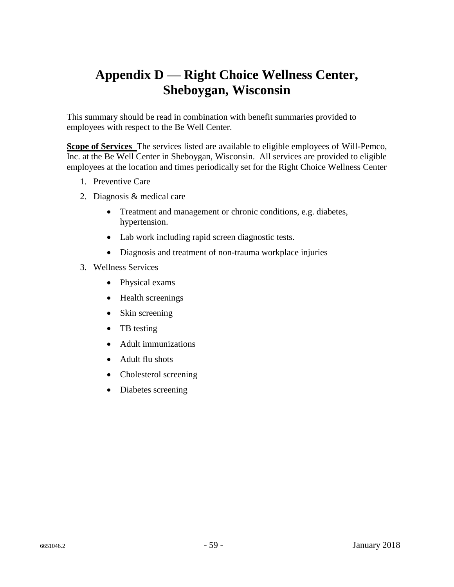## **Appendix D — Right Choice Wellness Center, Sheboygan, Wisconsin**

This summary should be read in combination with benefit summaries provided to employees with respect to the Be Well Center.

**Scope of Services** The services listed are available to eligible employees of Will-Pemco, Inc. at the Be Well Center in Sheboygan, Wisconsin. All services are provided to eligible employees at the location and times periodically set for the Right Choice Wellness Center

- 1. Preventive Care
- 2. Diagnosis & medical care
	- Treatment and management or chronic conditions, e.g. diabetes, hypertension.
	- Lab work including rapid screen diagnostic tests.
	- Diagnosis and treatment of non-trauma workplace injuries
- 3. Wellness Services
	- Physical exams
	- Health screenings
	- Skin screening
	- TB testing
	- Adult immunizations
	- Adult flu shots
	- Cholesterol screening
	- Diabetes screening